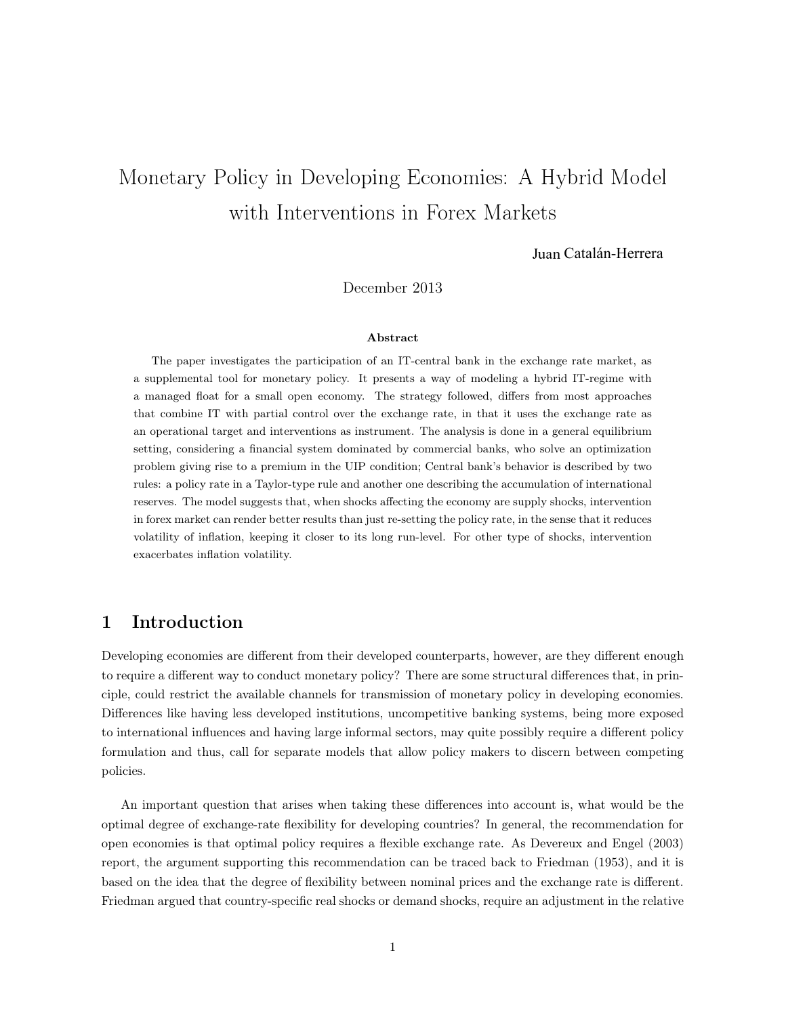# $\blacksquare$  . The state of  $\blacksquare$  and  $\blacksquare$  . The state of  $\blacksquare$  and  $\blacksquare$  and  $\blacksquare$  and  $\blacksquare$  and  $\blacksquare$  and  $\blacksquare$  and  $\blacksquare$  and  $\blacksquare$  and  $\blacksquare$  and  $\blacksquare$  and  $\blacksquare$  and  $\blacksquare$  and  $\blacksquare$  and  $\blacksquare$  and  $\blacksquare$  and with Interventions in Forex Markets

Juan Catalán-Herrera

December 2013

#### Abstract

The paper investigates the participation of an IT-central bank in the exchange rate market, as a supplemental tool for monetary policy. It presents a way of modeling a hybrid IT-regime with a managed float for a small open economy. The strategy followed, differs from most approaches that combine IT with partial control over the exchange rate, in that it uses the exchange rate as an operational target and interventions as instrument. The analysis is done in a general equilibrium setting, considering a financial system dominated by commercial banks, who solve an optimization problem giving rise to a premium in the UIP condition; Central bank's behavior is described by two rules: a policy rate in a Taylor-type rule and another one describing the accumulation of international reserves. The model suggests that, when shocks affecting the economy are supply shocks, intervention in forex market can render better results than just re-setting the policy rate, in the sense that it reduces volatility of inflation, keeping it closer to its long run-level. For other type of shocks, intervention exacerbates inflation volatility.

# 1 Introduction

Developing economies are different from their developed counterparts, however, are they different enough to require a different way to conduct monetary policy? There are some structural differences that, in principle, could restrict the available channels for transmission of monetary policy in developing economies. Differences like having less developed institutions, uncompetitive banking systems, being more exposed to international influences and having large informal sectors, may quite possibly require a different policy formulation and thus, call for separate models that allow policy makers to discern between competing policies.

An important question that arises when taking these differences into account is, what would be the optimal degree of exchange-rate flexibility for developing countries? In general, the recommendation for open economies is that optimal policy requires a flexible exchange rate. As Devereux and Engel (2003) report, the argument supporting this recommendation can be traced back to Friedman (1953), and it is based on the idea that the degree of flexibility between nominal prices and the exchange rate is different. Friedman argued that country-specific real shocks or demand shocks, require an adjustment in the relative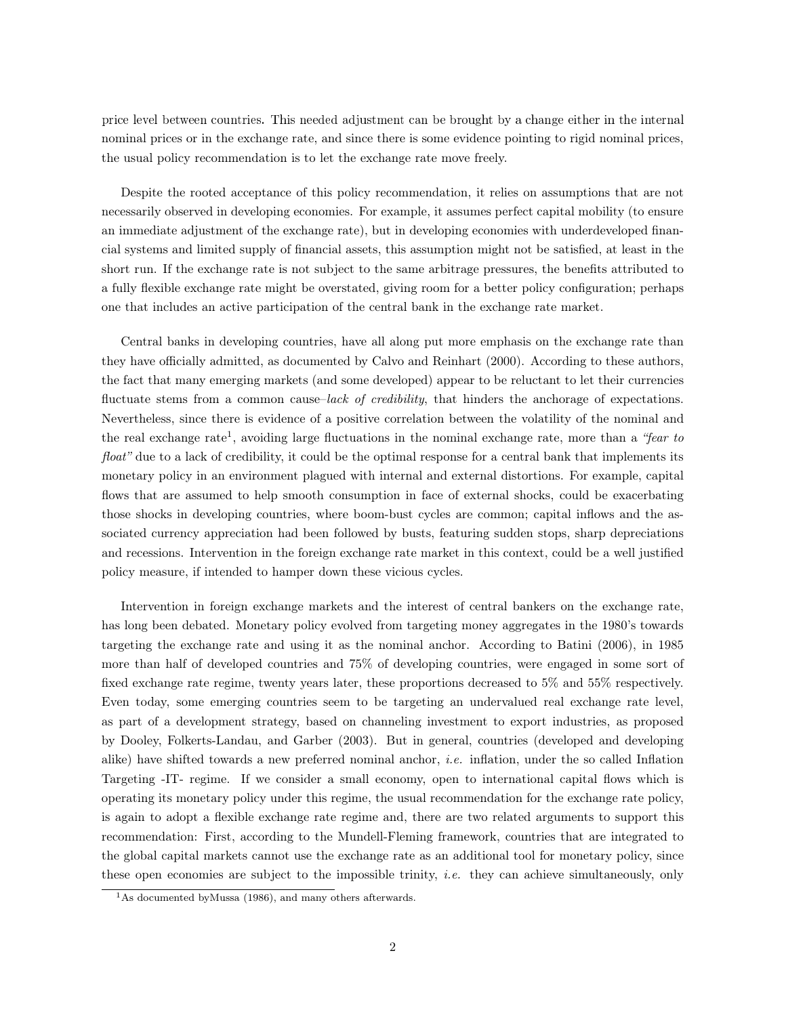price level between countries. This needed adjustment can be brought by a change either in the internal nominal prices or in the exchange rate, and since there is some evidence pointing to rigid nominal prices, the usual policy recommendation is to let the exchange rate move freely.

Despite the rooted acceptance of this policy recommendation, it relies on assumptions that are not necessarily observed in developing economies. For example, it assumes perfect capital mobility (to ensure an immediate adjustment of the exchange rate), but in developing economies with underdeveloped financial systems and limited supply of financial assets, this assumption might not be satisfied, at least in the short run. If the exchange rate is not subject to the same arbitrage pressures, the benefits attributed to a fully flexible exchange rate might be overstated, giving room for a better policy configuration; perhaps one that includes an active participation of the central bank in the exchange rate market.

Central banks in developing countries, have all along put more emphasis on the exchange rate than they have officially admitted, as documented by Calvo and Reinhart (2000). According to these authors, the fact that many emerging markets (and some developed) appear to be reluctant to let their currencies fluctuate stems from a common cause–lack of credibility, that hinders the anchorage of expectations. Nevertheless, since there is evidence of a positive correlation between the volatility of the nominal and the real exchange rate<sup>1</sup>, avoiding large fluctuations in the nominal exchange rate, more than a "fear to float" due to a lack of credibility, it could be the optimal response for a central bank that implements its monetary policy in an environment plagued with internal and external distortions. For example, capital flows that are assumed to help smooth consumption in face of external shocks, could be exacerbating those shocks in developing countries, where boom-bust cycles are common; capital inflows and the associated currency appreciation had been followed by busts, featuring sudden stops, sharp depreciations and recessions. Intervention in the foreign exchange rate market in this context, could be a well justified policy measure, if intended to hamper down these vicious cycles.

Intervention in foreign exchange markets and the interest of central bankers on the exchange rate, has long been debated. Monetary policy evolved from targeting money aggregates in the 1980's towards targeting the exchange rate and using it as the nominal anchor. According to Batini (2006), in 1985 more than half of developed countries and 75% of developing countries, were engaged in some sort of fixed exchange rate regime, twenty years later, these proportions decreased to 5% and 55% respectively. Even today, some emerging countries seem to be targeting an undervalued real exchange rate level, as part of a development strategy, based on channeling investment to export industries, as proposed by Dooley, Folkerts-Landau, and Garber (2003). But in general, countries (developed and developing alike) have shifted towards a new preferred nominal anchor, *i.e.* inflation, under the so called Inflation Targeting -IT- regime. If we consider a small economy, open to international capital flows which is operating its monetary policy under this regime, the usual recommendation for the exchange rate policy, is again to adopt a flexible exchange rate regime and, there are two related arguments to support this recommendation: First, according to the Mundell-Fleming framework, countries that are integrated to the global capital markets cannot use the exchange rate as an additional tool for monetary policy, since these open economies are subject to the impossible trinity, *i.e.* they can achieve simultaneously, only

<sup>&</sup>lt;sup>1</sup>As documented byMussa (1986), and many others afterwards.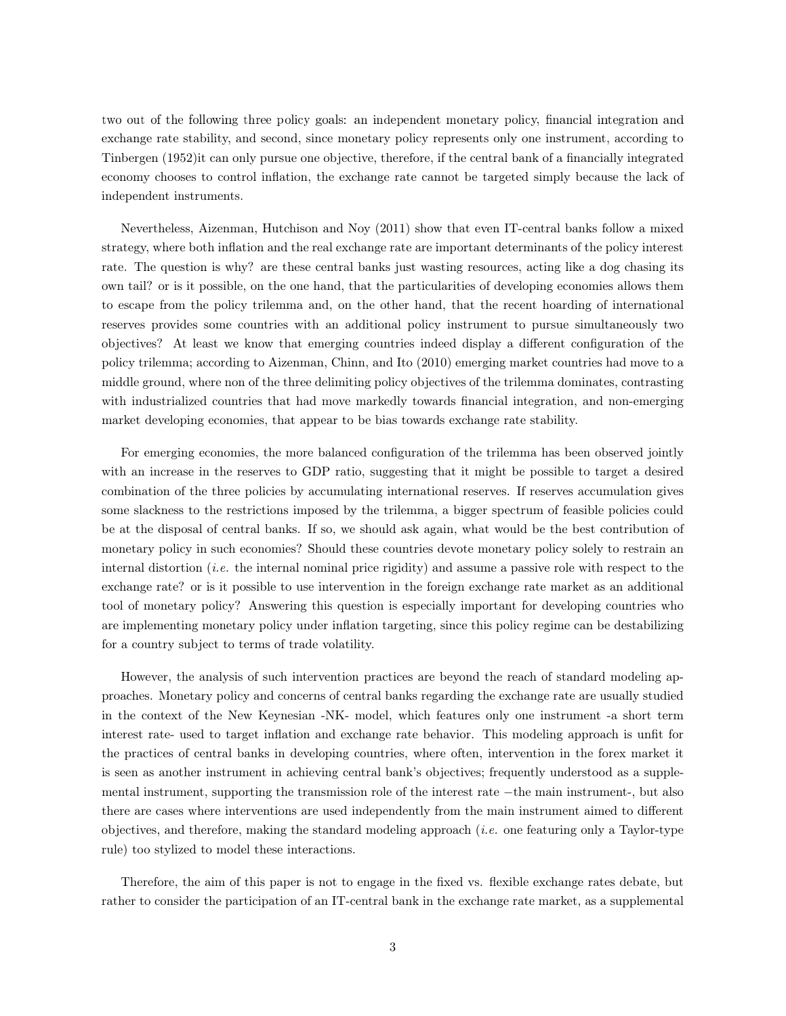two out of the following three policy goals: an independent monetary policy, financial integration and exchange rate stability, and second, since monetary policy represents only one instrument, according to Tinbergen (1952)it can only pursue one objective, therefore, if the central bank of a financially integrated economy chooses to control inflation, the exchange rate cannot be targeted simply because the lack of independent instruments.

Nevertheless, Aizenman, Hutchison and Noy (2011) show that even IT-central banks follow a mixed strategy, where both inflation and the real exchange rate are important determinants of the policy interest rate. The question is why? are these central banks just wasting resources, acting like a dog chasing its own tail? or is it possible, on the one hand, that the particularities of developing economies allows them to escape from the policy trilemma and, on the other hand, that the recent hoarding of international reserves provides some countries with an additional policy instrument to pursue simultaneously two objectives? At least we know that emerging countries indeed display a different configuration of the policy trilemma; according to Aizenman, Chinn, and Ito (2010) emerging market countries had move to a middle ground, where non of the three delimiting policy objectives of the trilemma dominates, contrasting with industrialized countries that had move markedly towards financial integration, and non-emerging market developing economies, that appear to be bias towards exchange rate stability.

For emerging economies, the more balanced configuration of the trilemma has been observed jointly with an increase in the reserves to GDP ratio, suggesting that it might be possible to target a desired combination of the three policies by accumulating international reserves. If reserves accumulation gives some slackness to the restrictions imposed by the trilemma, a bigger spectrum of feasible policies could be at the disposal of central banks. If so, we should ask again, what would be the best contribution of monetary policy in such economies? Should these countries devote monetary policy solely to restrain an internal distortion *(i.e.* the internal nominal price rigidity) and assume a passive role with respect to the exchange rate? or is it possible to use intervention in the foreign exchange rate market as an additional tool of monetary policy? Answering this question is especially important for developing countries who are implementing monetary policy under inflation targeting, since this policy regime can be destabilizing for a country subject to terms of trade volatility.

However, the analysis of such intervention practices are beyond the reach of standard modeling approaches. Monetary policy and concerns of central banks regarding the exchange rate are usually studied in the context of the New Keynesian -NK- model, which features only one instrument -a short term interest rate- used to target inflation and exchange rate behavior. This modeling approach is unfit for the practices of central banks in developing countries, where often, intervention in the forex market it is seen as another instrument in achieving central bank's objectives; frequently understood as a supplemental instrument, supporting the transmission role of the interest rate −the main instrument-, but also there are cases where interventions are used independently from the main instrument aimed to different objectives, and therefore, making the standard modeling approach (i.e. one featuring only a Taylor-type rule) too stylized to model these interactions.

Therefore, the aim of this paper is not to engage in the fixed vs. flexible exchange rates debate, but rather to consider the participation of an IT-central bank in the exchange rate market, as a supplemental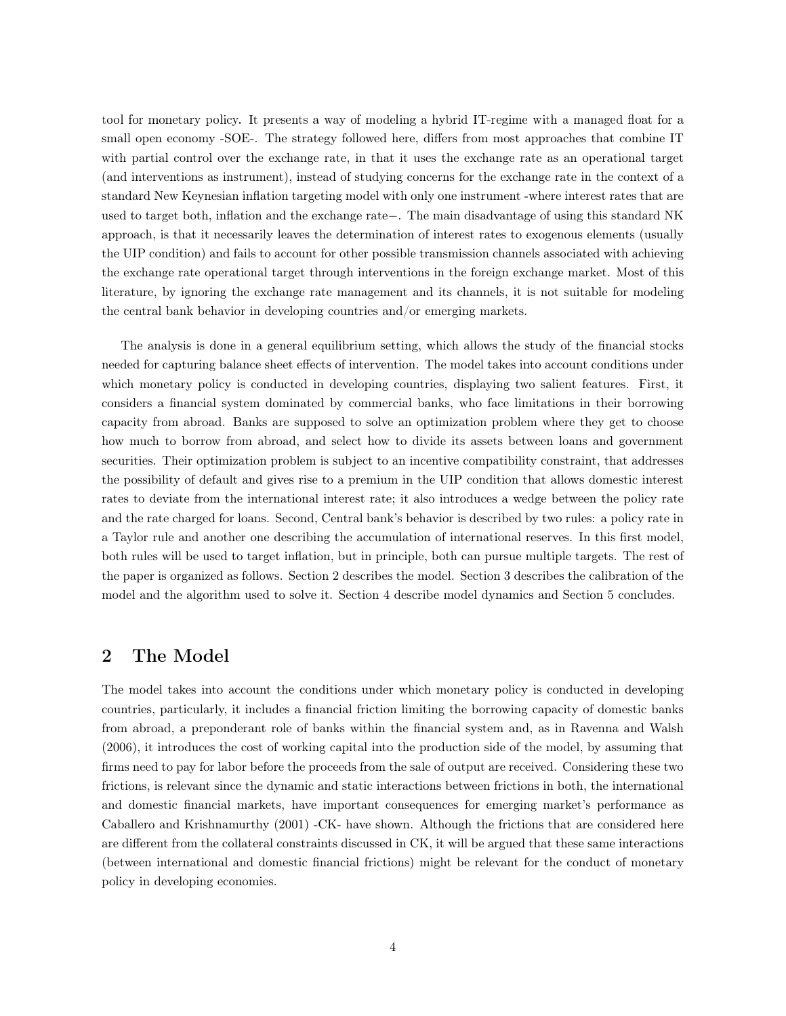tool for monetary policy. It presents a way of modeling a hybrid IT-regime with a managed float for a small open economy -SOE-. The strategy followed here, differs from most approaches that combine IT with partial control over the exchange rate, in that it uses the exchange rate as an operational target (and interventions as instrument), instead of studying concerns for the exchange rate in the context of a standard New Keynesian inflation targeting model with only one instrument -where interest rates that are used to target both, inflation and the exchange rate−. The main disadvantage of using this standard NK approach, is that it necessarily leaves the determination of interest rates to exogenous elements (usually the UIP condition) and fails to account for other possible transmission channels associated with achieving the exchange rate operational target through interventions in the foreign exchange market. Most of this literature, by ignoring the exchange rate management and its channels, it is not suitable for modeling the central bank behavior in developing countries and/or emerging markets.

The analysis is done in a general equilibrium setting, which allows the study of the financial stocks needed for capturing balance sheet effects of intervention. The model takes into account conditions under which monetary policy is conducted in developing countries, displaying two salient features. First, it considers a financial system dominated by commercial banks, who face limitations in their borrowing capacity from abroad. Banks are supposed to solve an optimization problem where they get to choose how much to borrow from abroad, and select how to divide its assets between loans and government securities. Their optimization problem is subject to an incentive compatibility constraint, that addresses the possibility of default and gives rise to a premium in the UIP condition that allows domestic interest rates to deviate from the international interest rate; it also introduces a wedge between the policy rate and the rate charged for loans. Second, Central bank's behavior is described by two rules: a policy rate in a Taylor rule and another one describing the accumulation of international reserves. In this first model, both rules will be used to target inflation, but in principle, both can pursue multiple targets. The rest of the paper is organized as follows. Section 2 describes the model. Section 3 describes the calibration of the model and the algorithm used to solve it. Section 4 describe model dynamics and Section 5 concludes.

# 2 The Model

The model takes into account the conditions under which monetary policy is conducted in developing countries, particularly, it includes a financial friction limiting the borrowing capacity of domestic banks from abroad, a preponderant role of banks within the financial system and, as in Ravenna and Walsh (2006), it introduces the cost of working capital into the production side of the model, by assuming that firms need to pay for labor before the proceeds from the sale of output are received. Considering these two frictions, is relevant since the dynamic and static interactions between frictions in both, the international and domestic financial markets, have important consequences for emerging market's performance as Caballero and Krishnamurthy (2001) -CK- have shown. Although the frictions that are considered here are different from the collateral constraints discussed in CK, it will be argued that these same interactions (between international and domestic financial frictions) might be relevant for the conduct of monetary policy in developing economies.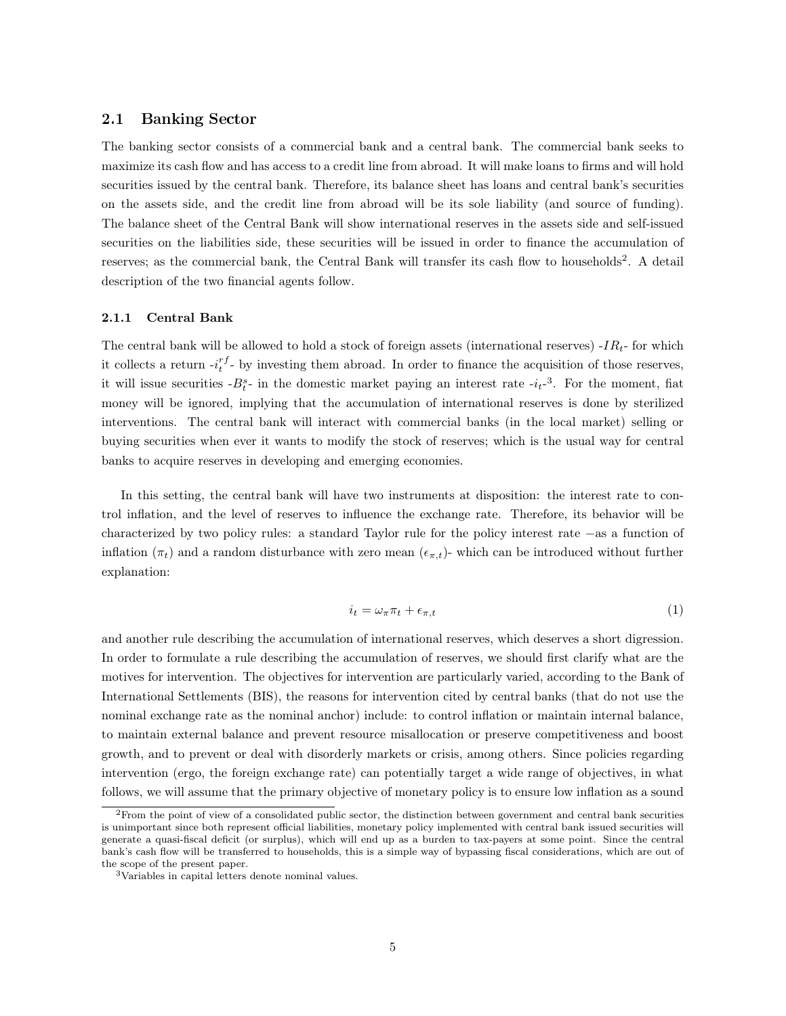# 2.1 Banking Sector

The banking sector consists of a commercial bank and a central bank. The commercial bank seeks to maximize its cash flow and has access to a credit line from abroad. It will make loans to firms and will hold securities issued by the central bank. Therefore, its balance sheet has loans and central bank's securities on the assets side, and the credit line from abroad will be its sole liability (and source of funding). The balance sheet of the Central Bank will show international reserves in the assets side and self-issued securities on the liabilities side, these securities will be issued in order to finance the accumulation of reserves; as the commercial bank, the Central Bank will transfer its cash flow to households<sup>2</sup>. A detail description of the two financial agents follow.

### 2.1.1 Central Bank

The central bank will be allowed to hold a stock of foreign assets (international reserves)  $-IR_t$ - for which it collects a return  $-i_t^{rf}$  by investing them abroad. In order to finance the acquisition of those reserves, it will issue securities  $-B_t^s$ - in the domestic market paying an interest rate  $-i_t^{-3}$ . For the moment, fiat money will be ignored, implying that the accumulation of international reserves is done by sterilized interventions. The central bank will interact with commercial banks (in the local market) selling or buying securities when ever it wants to modify the stock of reserves; which is the usual way for central banks to acquire reserves in developing and emerging economies.

In this setting, the central bank will have two instruments at disposition: the interest rate to control inflation, and the level of reserves to influence the exchange rate. Therefore, its behavior will be characterized by two policy rules: a standard Taylor rule for the policy interest rate −as a function of inflation ( $\pi_t$ ) and a random disturbance with zero mean ( $\epsilon_{\pi,t}$ )- which can be introduced without further explanation:

$$
i_t = \omega_\pi \pi_t + \epsilon_{\pi, t} \tag{1}
$$

and another rule describing the accumulation of international reserves, which deserves a short digression. In order to formulate a rule describing the accumulation of reserves, we should first clarify what are the motives for intervention. The objectives for intervention are particularly varied, according to the Bank of International Settlements (BIS), the reasons for intervention cited by central banks (that do not use the nominal exchange rate as the nominal anchor) include: to control inflation or maintain internal balance, to maintain external balance and prevent resource misallocation or preserve competitiveness and boost growth, and to prevent or deal with disorderly markets or crisis, among others. Since policies regarding intervention (ergo, the foreign exchange rate) can potentially target a wide range of objectives, in what follows, we will assume that the primary objective of monetary policy is to ensure low inflation as a sound

<sup>2</sup>From the point of view of a consolidated public sector, the distinction between government and central bank securities is unimportant since both represent official liabilities, monetary policy implemented with central bank issued securities will generate a quasi-fiscal deficit (or surplus), which will end up as a burden to tax-payers at some point. Since the central bank's cash flow will be transferred to households, this is a simple way of bypassing fiscal considerations, which are out of the scope of the present paper.

<sup>3</sup>Variables in capital letters denote nominal values.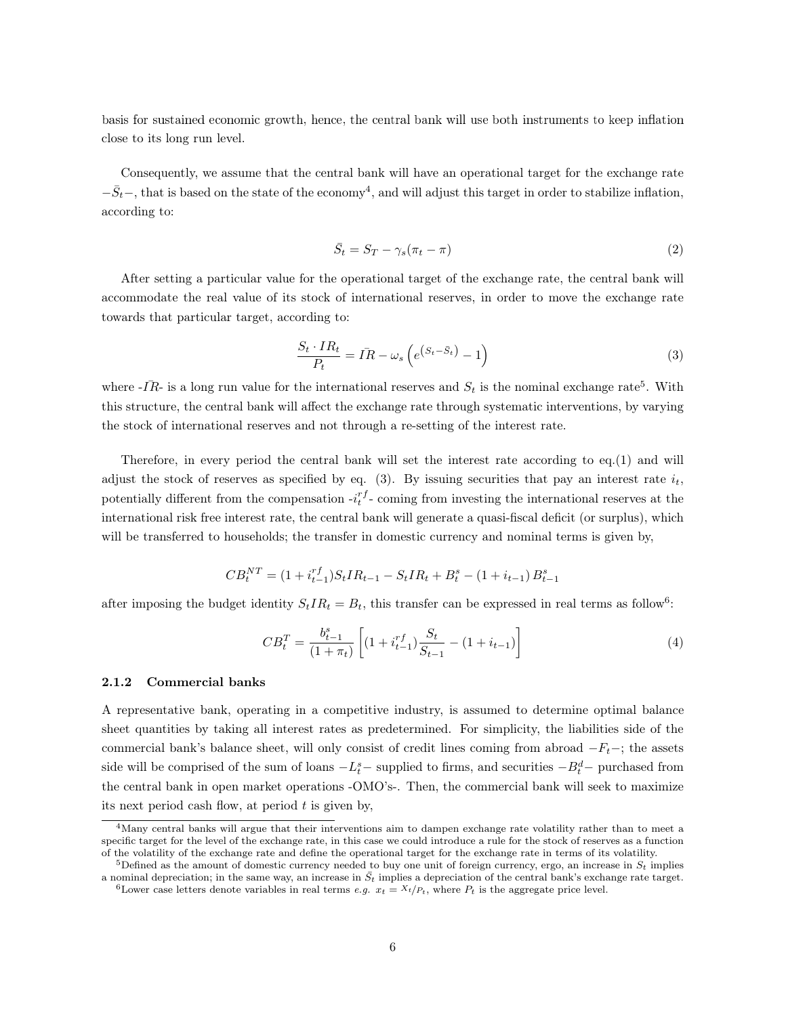basis for sustained economic growth, hence, the central bank will use both instruments to keep inflation close to its long run level.

Consequently, we assume that the central bank will have an operational target for the exchange rate  $-\bar{S}_t$  –, that is based on the state of the economy<sup>4</sup>, and will adjust this target in order to stabilize inflation, according to:

$$
\bar{S}_t = S_T - \gamma_s (\pi_t - \pi) \tag{2}
$$

After setting a particular value for the operational target of the exchange rate, the central bank will accommodate the real value of its stock of international reserves, in order to move the exchange rate towards that particular target, according to:

$$
\frac{S_t \cdot IR_t}{P_t} = \bar{IR} - \omega_s \left( e^{\left( S_t - \bar{S}_t \right)} - 1 \right) \tag{3}
$$

where  $\overline{IR}$ - is a long run value for the international reserves and  $S_t$  is the nominal exchange rate<sup>5</sup>. With this structure, the central bank will affect the exchange rate through systematic interventions, by varying the stock of international reserves and not through a re-setting of the interest rate.

Therefore, in every period the central bank will set the interest rate according to eq.(1) and will adjust the stock of reserves as specified by eq. (3). By issuing securities that pay an interest rate  $i_t$ , potentially different from the compensation  $-i_t^{rf}$ - coming from investing the international reserves at the international risk free interest rate, the central bank will generate a quasi-fiscal deficit (or surplus), which will be transferred to households; the transfer in domestic currency and nominal terms is given by,

$$
CB_t^{NT} = (1 + i_{t-1}^{rf})S_tIR_{t-1} - S_tIR_t + B_t^s - (1 + i_{t-1})B_{t-1}^s
$$

after imposing the budget identity  $S_tIR_t = B_t$ , this transfer can be expressed in real terms as follow<sup>6</sup>:

$$
CB_t^T = \frac{b_{t-1}^s}{(1+\pi_t)} \left[ (1 + i_{t-1}^{rf}) \frac{S_t}{S_{t-1}} - (1 + i_{t-1}) \right]
$$
\n
$$
(4)
$$

### 2.1.2 Commercial banks

A representative bank, operating in a competitive industry, is assumed to determine optimal balance sheet quantities by taking all interest rates as predetermined. For simplicity, the liabilities side of the commercial bank's balance sheet, will only consist of credit lines coming from abroad  $-F_t$ –; the assets side will be comprised of the sum of loans  $-L_t^s$  – supplied to firms, and securities  $-B_t^d$  – purchased from the central bank in open market operations -OMO's-. Then, the commercial bank will seek to maximize its next period cash flow, at period  $t$  is given by,

<sup>4</sup>Many central banks will argue that their interventions aim to dampen exchange rate volatility rather than to meet a specific target for the level of the exchange rate, in this case we could introduce a rule for the stock of reserves as a function of the volatility of the exchange rate and define the operational target for the exchange rate in terms of its volatility.

<sup>&</sup>lt;sup>5</sup>Defined as the amount of domestic currency needed to buy one unit of foreign currency, ergo, an increase in  $S_t$  implies a nominal depreciation; in the same way, an increase in  $\bar{S}_t$  implies a depreciation of the central bank's exchange rate target. <sup>6</sup>Lower case letters denote variables in real terms *e.g.*  $x_t = X_t/P_t$ , where  $P_t$  is the aggregate price level.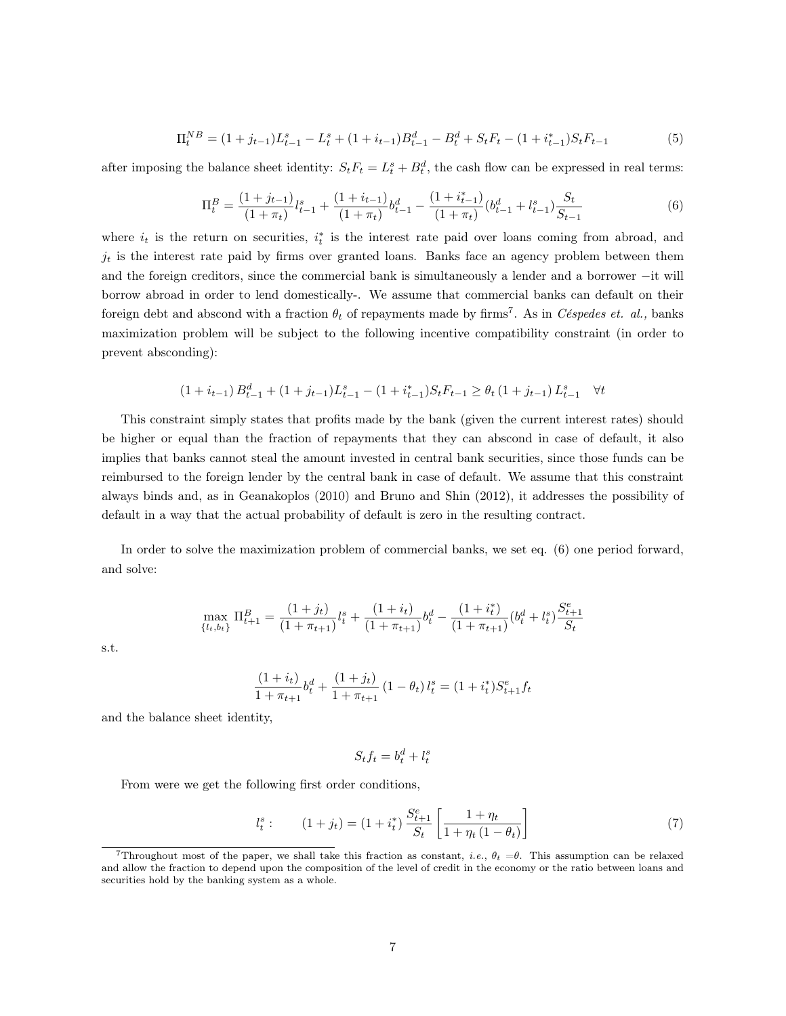$$
\Pi_t^{NB} = (1+j_{t-1})L_{t-1}^s - L_t^s + (1+i_{t-1})B_{t-1}^d - B_t^d + S_tF_t - (1+i_{t-1}^*)S_tF_{t-1}
$$
\n
$$
(5)
$$

after imposing the balance sheet identity:  $S_t F_t = L_t^s + B_t^d$ , the cash flow can be expressed in real terms:

$$
\Pi_t^B = \frac{(1+j_{t-1})}{(1+\pi_t)} l_{t-1}^s + \frac{(1+i_{t-1})}{(1+\pi_t)} b_{t-1}^d - \frac{(1+i_{t-1}^*)}{(1+\pi_t)} (b_{t-1}^d + l_{t-1}^s) \frac{S_t}{S_{t-1}}
$$
(6)

where  $i_t$  is the return on securities,  $i_t^*$  is the interest rate paid over loans coming from abroad, and  $j_t$  is the interest rate paid by firms over granted loans. Banks face an agency problem between them and the foreign creditors, since the commercial bank is simultaneously a lender and a borrower −it will borrow abroad in order to lend domestically-. We assume that commercial banks can default on their foreign debt and abscond with a fraction  $\theta_t$  of repayments made by firms<sup>7</sup>. As in *Céspedes et. al.*, banks maximization problem will be subject to the following incentive compatibility constraint (in order to prevent absconding):

$$
(1+i_{t-1}) B_{t-1}^d + (1+j_{t-1}) L_{t-1}^s - (1+i_{t-1}^*) S_t F_{t-1} \ge \theta_t (1+j_{t-1}) L_{t-1}^s \quad \forall t
$$

This constraint simply states that profits made by the bank (given the current interest rates) should be higher or equal than the fraction of repayments that they can abscond in case of default, it also implies that banks cannot steal the amount invested in central bank securities, since those funds can be reimbursed to the foreign lender by the central bank in case of default. We assume that this constraint always binds and, as in Geanakoplos (2010) and Bruno and Shin (2012), it addresses the possibility of default in a way that the actual probability of default is zero in the resulting contract.

In order to solve the maximization problem of commercial banks, we set eq. (6) one period forward, and solve:

$$
\max_{\{l_t,b_t\}}\Pi_{t+1}^B=\frac{(1+j_t)}{(1+\pi_{t+1})}l_t^s+\frac{(1+i_t)}{(1+\pi_{t+1})}b_t^d-\frac{(1+i_t^*)}{(1+\pi_{t+1})}(b_t^d+l_t^s)\frac{S_{t+1}^e}{S_t}
$$

s.t.

$$
\frac{(1+i_t)}{1+\pi_{t+1}}b_t^d + \frac{(1+j_t)}{1+\pi_{t+1}}(1-\theta_t) l_t^s = (1+i_t^*)S_{t+1}^e f_t
$$

and the balance sheet identity,

$$
S_t f_t = b_t^d + l_t^s
$$

From were we get the following first order conditions,

$$
l_t^s: \qquad (1+j_t) = (1+i_t^*) \frac{S_{t+1}^e}{S_t} \left[ \frac{1+\eta_t}{1+\eta_t (1-\theta_t)} \right] \tag{7}
$$

<sup>&</sup>lt;sup>7</sup>Throughout most of the paper, we shall take this fraction as constant, i.e.,  $\theta_t = \theta$ . This assumption can be relaxed and allow the fraction to depend upon the composition of the level of credit in the economy or the ratio between loans and securities hold by the banking system as a whole.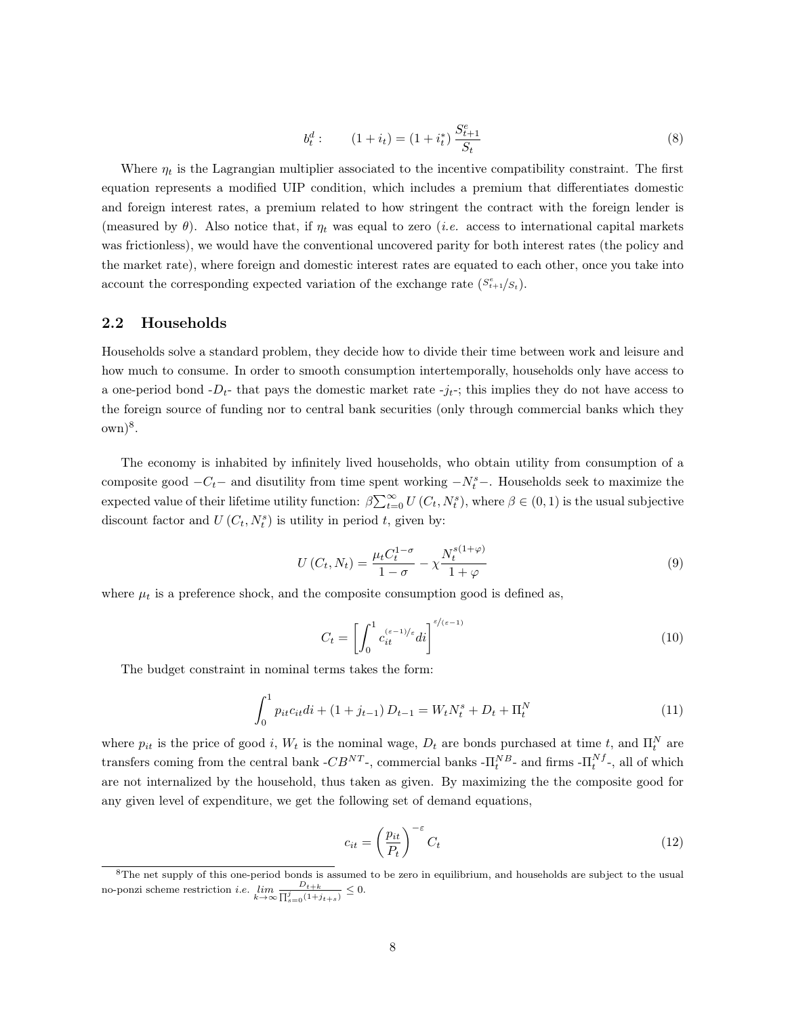$$
b_t^d: \qquad (1+i_t) = (1+i_t^*)\frac{S_{t+1}^e}{S_t} \tag{8}
$$

Where  $\eta_t$  is the Lagrangian multiplier associated to the incentive compatibility constraint. The first equation represents a modified UIP condition, which includes a premium that differentiates domestic and foreign interest rates, a premium related to how stringent the contract with the foreign lender is (measured by  $\theta$ ). Also notice that, if  $\eta_t$  was equal to zero *(i.e.* access to international capital markets was frictionless), we would have the conventional uncovered parity for both interest rates (the policy and the market rate), where foreign and domestic interest rates are equated to each other, once you take into account the corresponding expected variation of the exchange rate  $(S_{t+1}^e/s_t)$ .

### 2.2 Households

Households solve a standard problem, they decide how to divide their time between work and leisure and how much to consume. In order to smooth consumption intertemporally, households only have access to a one-period bond  $-D_t$ - that pays the domestic market rate  $-j_t$ -; this implies they do not have access to the foreign source of funding nor to central bank securities (only through commercial banks which they  $(\text{own})^8$ .

The economy is inhabited by infinitely lived households, who obtain utility from consumption of a composite good  $-C_t$  – and disutility from time spent working  $-N_t^s$  –. Households seek to maximize the expected value of their lifetime utility function:  $\beta \sum_{t=0}^{\infty} U(C_t, N_t^s)$ , where  $\beta \in (0, 1)$  is the usual subjective discount factor and  $U(C_t, N_t^s)$  is utility in period t, given by:

$$
U(C_t, N_t) = \frac{\mu_t C_t^{1-\sigma}}{1-\sigma} - \chi \frac{N_t^{s(1+\varphi)}}{1+\varphi}
$$
\n
$$
(9)
$$

where  $\mu_t$  is a preference shock, and the composite consumption good is defined as,

$$
C_t = \left[ \int_0^1 c_{it}^{(\varepsilon - 1)/\varepsilon} dt \right]^{\varepsilon/(\varepsilon - 1)}
$$
\n(10)

The budget constraint in nominal terms takes the form:

$$
\int_{0}^{1} p_{it}c_{it}di + (1+j_{t-1})D_{t-1} = W_tN_t^s + D_t + \Pi_t^N
$$
\n(11)

where  $p_{it}$  is the price of good i,  $W_t$  is the nominal wage,  $D_t$  are bonds purchased at time t, and  $\Pi_t^N$  are transfers coming from the central bank - $CB^{NT}$ -, commercial banks - $\Pi_t^{NB}$ - and firms - $\Pi_t^{Nf}$ -, all of which are not internalized by the household, thus taken as given. By maximizing the the composite good for any given level of expenditure, we get the following set of demand equations,

$$
c_{it} = \left(\frac{p_{it}}{P_t}\right)^{-\varepsilon} C_t \tag{12}
$$

<sup>&</sup>lt;sup>8</sup>The net supply of this one-period bonds is assumed to be zero in equilibrium, and households are subject to the usual no-ponzi scheme restriction *i.e.*  $\lim_{k \to \infty} \frac{D_{t+k}}{\prod_{s=0}^{j} (1+j_{t+s})} \leq 0.$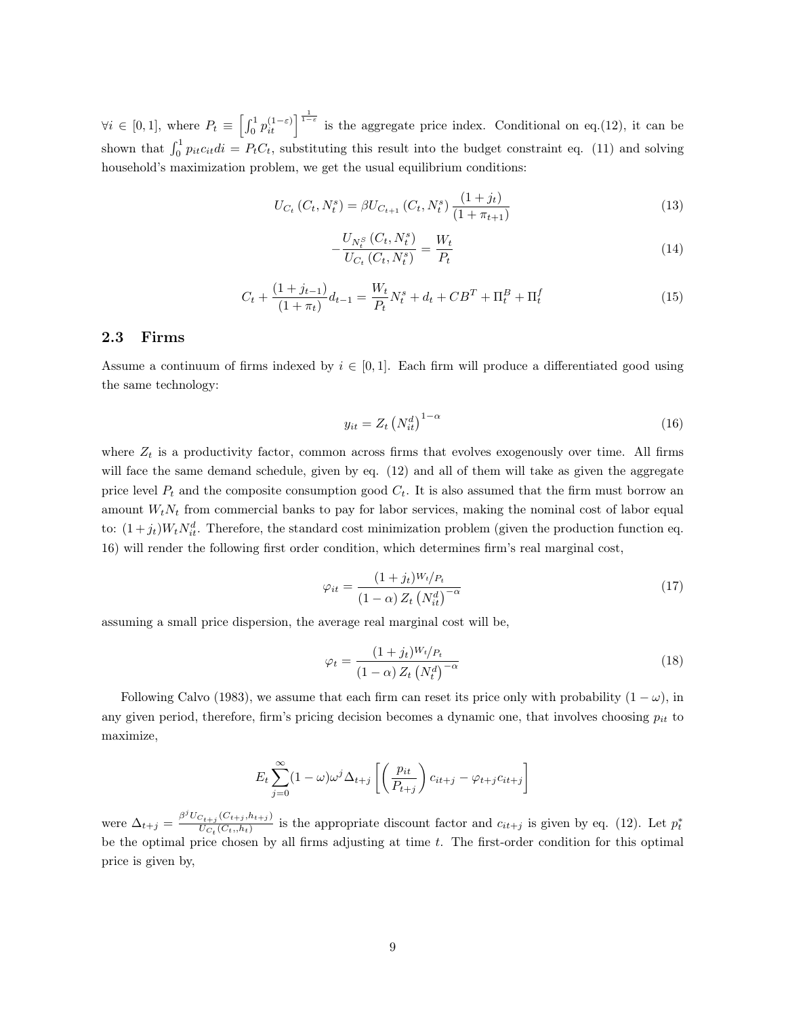$\forall i \in [0,1],$  where  $P_t \equiv \left[\int_0^1 p_{it}^{(1-\varepsilon)}\right]_{{1-\varepsilon}}_{{1-\varepsilon}}$  is the aggregate price index. Conditional on eq.(12), it can be shown that  $\int_0^1 p_{it}c_{it}di = P_tC_t$ , substituting this result into the budget constraint eq. (11) and solving household's maximization problem, we get the usual equilibrium conditions:

$$
U_{C_t}(C_t, N_t^s) = \beta U_{C_{t+1}}(C_t, N_t^s) \frac{(1+j_t)}{(1+\pi_{t+1})}
$$
\n(13)

$$
-\frac{U_{N_t^S}(C_t, N_t^S)}{U_{C_t}(C_t, N_t^S)} = \frac{W_t}{P_t}
$$
\n(14)

$$
C_t + \frac{(1+j_{t-1})}{(1+\pi_t)}d_{t-1} = \frac{W_t}{P_t}N_t^s + d_t + CB^T + \Pi_t^B + \Pi_t^f
$$
\n(15)

# 2.3 Firms

Assume a continuum of firms indexed by  $i \in [0, 1]$ . Each firm will produce a differentiated good using the same technology:

$$
y_{it} = Z_t \left( N_{it}^d \right)^{1-\alpha} \tag{16}
$$

where  $Z_t$  is a productivity factor, common across firms that evolves exogenously over time. All firms will face the same demand schedule, given by eq. (12) and all of them will take as given the aggregate price level  $P_t$  and the composite consumption good  $C_t$ . It is also assumed that the firm must borrow an amount  $W_tN_t$  from commercial banks to pay for labor services, making the nominal cost of labor equal to:  $(1+j_t)W_tN_{it}^d$ . Therefore, the standard cost minimization problem (given the production function eq. 16) will render the following first order condition, which determines firm's real marginal cost,

$$
\varphi_{it} = \frac{(1+j_t)^{W_t}/P_t}{(1-\alpha)Z_t \left(N_{it}^d\right)^{-\alpha}}\tag{17}
$$

assuming a small price dispersion, the average real marginal cost will be,

$$
\varphi_t = \frac{(1+j_t)^{W_t}/P_t}{(1-\alpha) Z_t \left(N_t^d\right)^{-\alpha}}\tag{18}
$$

Following Calvo (1983), we assume that each firm can reset its price only with probability  $(1 - \omega)$ , in any given period, therefore, firm's pricing decision becomes a dynamic one, that involves choosing  $p_{it}$  to maximize,

$$
E_t \sum_{j=0}^{\infty} (1 - \omega) \omega^j \Delta_{t+j} \left[ \left( \frac{p_{it}}{P_{t+j}} \right) c_{it+j} - \varphi_{t+j} c_{it+j} \right]
$$

were  $\Delta_{t+j} = \frac{\beta^j U_{C_{t+j}}(C_{t+j}, h_{t+j})}{U_{C_{t}}(C_{t+j}, h_{t})}$  $\frac{U_{C_t}(C_{t+j},h_{t+j})}{U_{C_t}(C_t,h_t)}$  is the appropriate discount factor and  $c_{it+j}$  is given by eq. (12). Let  $p_t^*$ be the optimal price chosen by all firms adjusting at time  $t$ . The first-order condition for this optimal price is given by,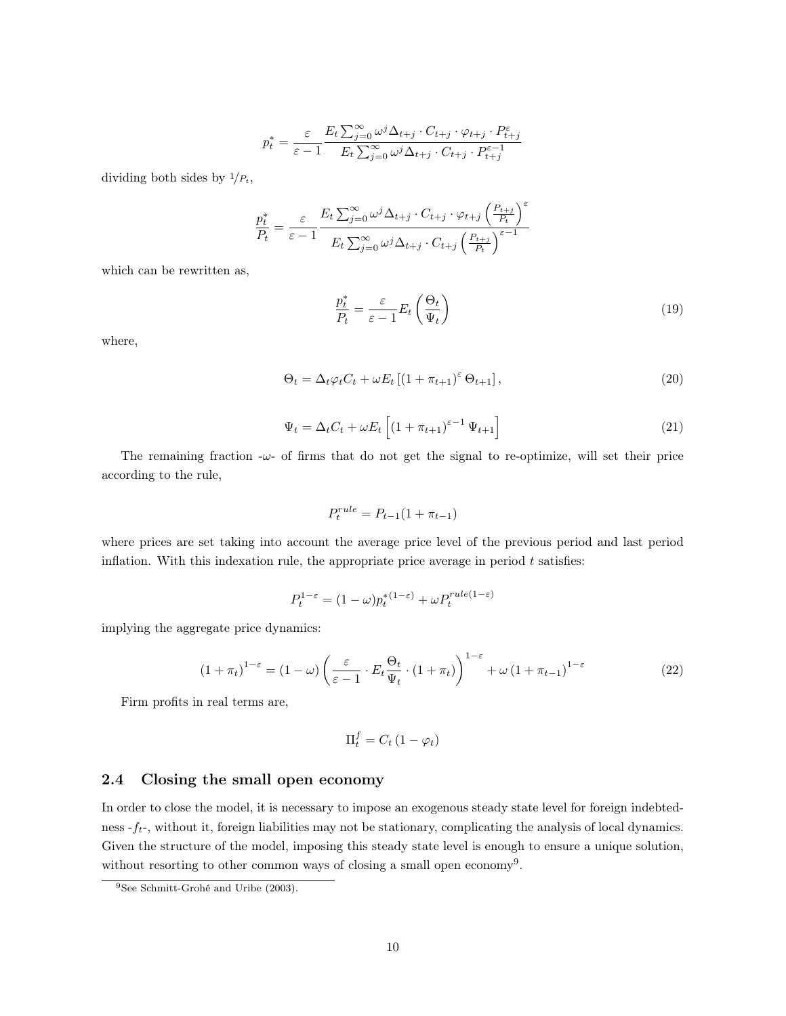$$
p_t^* = \frac{\varepsilon}{\varepsilon - 1} \frac{E_t \sum_{j=0}^{\infty} \omega^j \Delta_{t+j} \cdot C_{t+j} \cdot \varphi_{t+j} \cdot P_{t+j}^{\varepsilon}}{E_t \sum_{j=0}^{\infty} \omega^j \Delta_{t+j} \cdot C_{t+j} \cdot P_{t+j}^{\varepsilon-1}}
$$

dividing both sides by  $1/P_t$ ,

$$
\frac{p_t^*}{P_t} = \frac{\varepsilon}{\varepsilon - 1} \frac{E_t \sum_{j=0}^{\infty} \omega^j \Delta_{t+j} \cdot C_{t+j} \cdot \varphi_{t+j} \left(\frac{P_{t+j}}{P_t}\right)^{\varepsilon}}{E_t \sum_{j=0}^{\infty} \omega^j \Delta_{t+j} \cdot C_{t+j} \left(\frac{P_{t+j}}{P_t}\right)^{\varepsilon-1}}
$$

which can be rewritten as,

$$
\frac{p_t^*}{P_t} = \frac{\varepsilon}{\varepsilon - 1} E_t \left( \frac{\Theta_t}{\Psi_t} \right) \tag{19}
$$

where,

$$
\Theta_t = \Delta_t \varphi_t C_t + \omega E_t \left[ \left( 1 + \pi_{t+1} \right)^{\varepsilon} \Theta_{t+1} \right],\tag{20}
$$

$$
\Psi_t = \Delta_t C_t + \omega E_t \left[ \left( 1 + \pi_{t+1} \right)^{\varepsilon - 1} \Psi_{t+1} \right] \tag{21}
$$

The remaining fraction  $-\omega$ - of firms that do not get the signal to re-optimize, will set their price according to the rule,

$$
P_t^{rule} = P_{t-1}(1 + \pi_{t-1})
$$

where prices are set taking into account the average price level of the previous period and last period inflation. With this indexation rule, the appropriate price average in period  $t$  satisfies:

$$
P_t^{1-\varepsilon} = (1-\omega)p_t^{*(1-\varepsilon)} + \omega P_t^{rule(1-\varepsilon)}
$$

implying the aggregate price dynamics:

$$
(1 + \pi_t)^{1 - \varepsilon} = (1 - \omega) \left( \frac{\varepsilon}{\varepsilon - 1} \cdot E_t \frac{\Theta_t}{\Psi_t} \cdot (1 + \pi_t) \right)^{1 - \varepsilon} + \omega \left( 1 + \pi_{t-1} \right)^{1 - \varepsilon} \tag{22}
$$

Firm profits in real terms are,

$$
\Pi_t^f = C_t \left( 1 - \varphi_t \right)
$$

# 2.4 Closing the small open economy

In order to close the model, it is necessary to impose an exogenous steady state level for foreign indebtedness  $-f_t$ , without it, foreign liabilities may not be stationary, complicating the analysis of local dynamics. Given the structure of the model, imposing this steady state level is enough to ensure a unique solution, without resorting to other common ways of closing a small open economy<sup>9</sup>.

<sup>9</sup>See Schmitt-Grohé and Uribe (2003).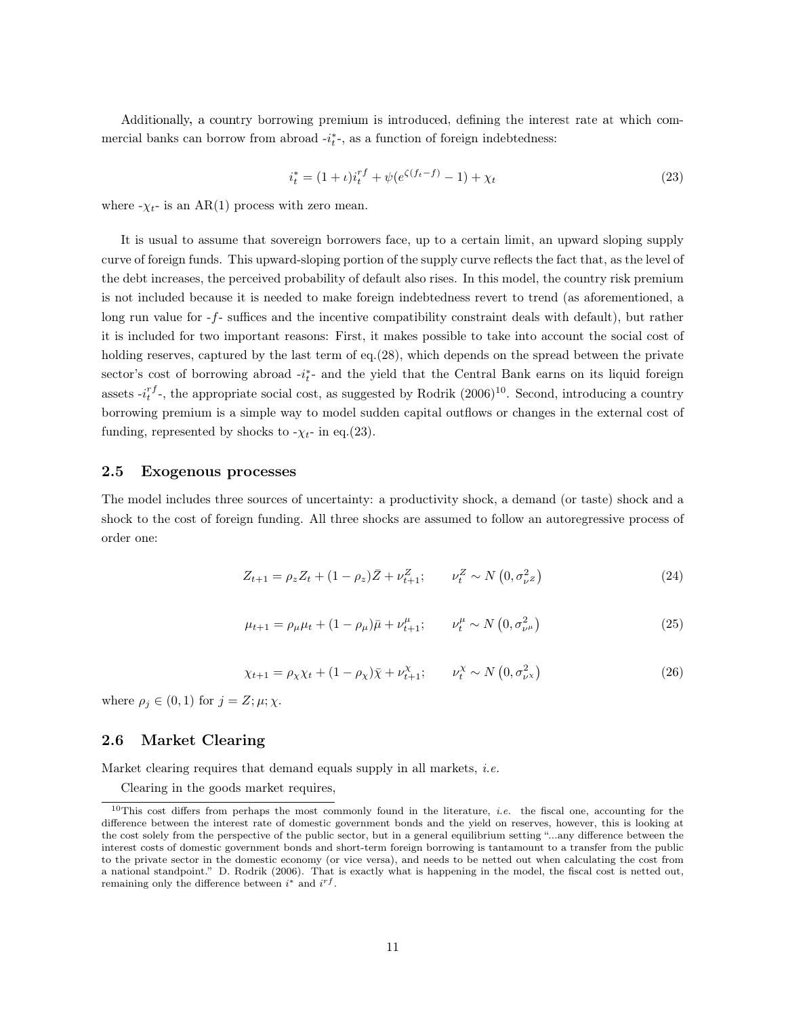Additionally, a country borrowing premium is introduced, defining the interest rate at which commercial banks can borrow from abroad  $-i_t^*$ , as a function of foreign indebtedness:

$$
i_t^* = (1 + \iota)i_t^{rf} + \psi(e^{\zeta(f_t - f)} - 1) + \chi_t
$$
\n(23)

where  $-\chi_{t}$ - is an AR(1) process with zero mean.

It is usual to assume that sovereign borrowers face, up to a certain limit, an upward sloping supply curve of foreign funds. This upward-sloping portion of the supply curve reflects the fact that, as the level of the debt increases, the perceived probability of default also rises. In this model, the country risk premium is not included because it is needed to make foreign indebtedness revert to trend (as aforementioned, a long run value for -f- suffices and the incentive compatibility constraint deals with default), but rather it is included for two important reasons: First, it makes possible to take into account the social cost of holding reserves, captured by the last term of eq.(28), which depends on the spread between the private sector's cost of borrowing abroad  $-i_t^*$  and the yield that the Central Bank earns on its liquid foreign assets  $-i_t^{rf}$ , the appropriate social cost, as suggested by Rodrik (2006)<sup>10</sup>. Second, introducing a country borrowing premium is a simple way to model sudden capital outflows or changes in the external cost of funding, represented by shocks to  $-\chi_{t-}$  in eq.(23).

## 2.5 Exogenous processes

The model includes three sources of uncertainty: a productivity shock, a demand (or taste) shock and a shock to the cost of foreign funding. All three shocks are assumed to follow an autoregressive process of order one:

$$
Z_{t+1} = \rho_z Z_t + (1 - \rho_z)\bar{Z} + \nu_{t+1}^Z; \qquad \nu_t^Z \sim N(0, \sigma_{\nu}^2)
$$
 (24)

$$
\mu_{t+1} = \rho_{\mu}\mu_t + (1 - \rho_{\mu})\bar{\mu} + \nu_{t+1}^{\mu}; \qquad \nu_t^{\mu} \sim N(0, \sigma_{\nu^{\mu}}^2)
$$
\n(25)

$$
\chi_{t+1} = \rho_\chi \chi_t + (1 - \rho_\chi)\bar{\chi} + \nu_{t+1}^\chi; \qquad \nu_t^\chi \sim N\left(0, \sigma_{\nu}^2\right) \tag{26}
$$

where  $\rho_j \in (0,1)$  for  $j = Z; \mu; \chi$ .

## 2.6 Market Clearing

Market clearing requires that demand equals supply in all markets, *i.e.* 

Clearing in the goods market requires,

<sup>&</sup>lt;sup>10</sup>This cost differs from perhaps the most commonly found in the literature, *i.e.* the fiscal one, accounting for the difference between the interest rate of domestic government bonds and the yield on reserves, however, this is looking at the cost solely from the perspective of the public sector, but in a general equilibrium setting "...any difference between the interest costs of domestic government bonds and short-term foreign borrowing is tantamount to a transfer from the public to the private sector in the domestic economy (or vice versa), and needs to be netted out when calculating the cost from a national standpoint." D. Rodrik (2006). That is exactly what is happening in the model, the fiscal cost is netted out, remaining only the difference between  $i^*$  and  $i^{rf}$ .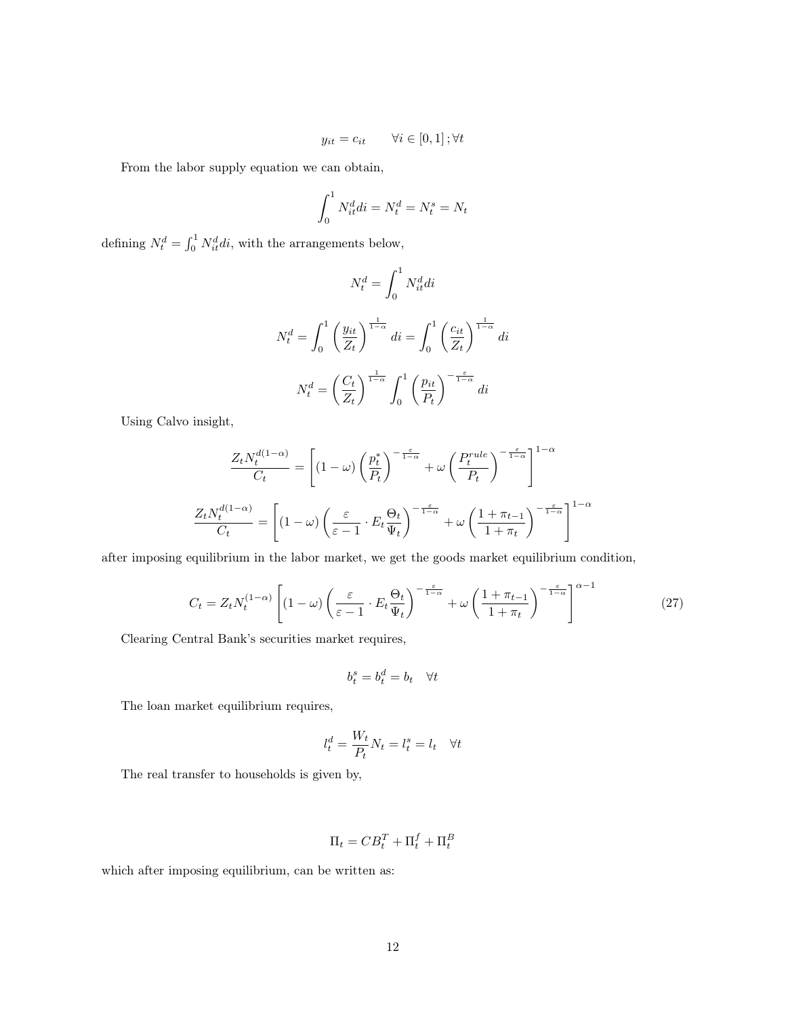$$
y_{it} = c_{it} \qquad \forall i \in [0, 1]; \forall t
$$

From the labor supply equation we can obtain,

$$
\int_0^1 N_{it}^d di = N_t^d = N_t^s = N_t
$$

defining  $N_t^d = \int_0^1 N_{it}^d di$ , with the arrangements below,

$$
N_t^d = \int_0^1 N_{it}^d di
$$
  

$$
N_t^d = \int_0^1 \left(\frac{y_{it}}{Z_t}\right)^{\frac{1}{1-\alpha}} di = \int_0^1 \left(\frac{c_{it}}{Z_t}\right)^{\frac{1}{1-\alpha}} di
$$
  

$$
N_t^d = \left(\frac{C_t}{Z_t}\right)^{\frac{1}{1-\alpha}} \int_0^1 \left(\frac{p_{it}}{P_t}\right)^{-\frac{\varepsilon}{1-\alpha}} di
$$

Using Calvo insight,

$$
\frac{Z_t N_t^{d(1-\alpha)}}{C_t} = \left[ (1-\omega) \left( \frac{p_t^*}{P_t} \right)^{-\frac{\varepsilon}{1-\alpha}} + \omega \left( \frac{P_t^{rule}}{P_t} \right)^{-\frac{\varepsilon}{1-\alpha}} \right]^{1-\alpha}
$$

$$
\frac{Z_t N_t^{d(1-\alpha)}}{C_t} = \left[ (1-\omega) \left( \frac{\varepsilon}{\varepsilon - 1} \cdot E_t \frac{\Theta_t}{\Psi_t} \right)^{-\frac{\varepsilon}{1-\alpha}} + \omega \left( \frac{1 + \pi_{t-1}}{1 + \pi_t} \right)^{-\frac{\varepsilon}{1-\alpha}} \right]^{1-\alpha}
$$

after imposing equilibrium in the labor market, we get the goods market equilibrium condition,

$$
C_t = Z_t N_t^{(1-\alpha)} \left[ (1-\omega) \left( \frac{\varepsilon}{\varepsilon - 1} \cdot E_t \frac{\Theta_t}{\Psi_t} \right)^{-\frac{\varepsilon}{1-\alpha}} + \omega \left( \frac{1 + \pi_{t-1}}{1 + \pi_t} \right)^{-\frac{\varepsilon}{1-\alpha}} \right]^{\alpha - 1}
$$
(27)

Clearing Central Bank's securities market requires,

$$
b_t^s = b_t^d = b_t \quad \forall t
$$

The loan market equilibrium requires,

$$
l_t^d = \frac{W_t}{P_t} N_t = l_t^s = l_t \quad \forall t
$$

The real transfer to households is given by,

$$
\Pi_t = C B_t^T + \Pi_t^f + \Pi_t^B
$$

which after imposing equilibrium, can be written as: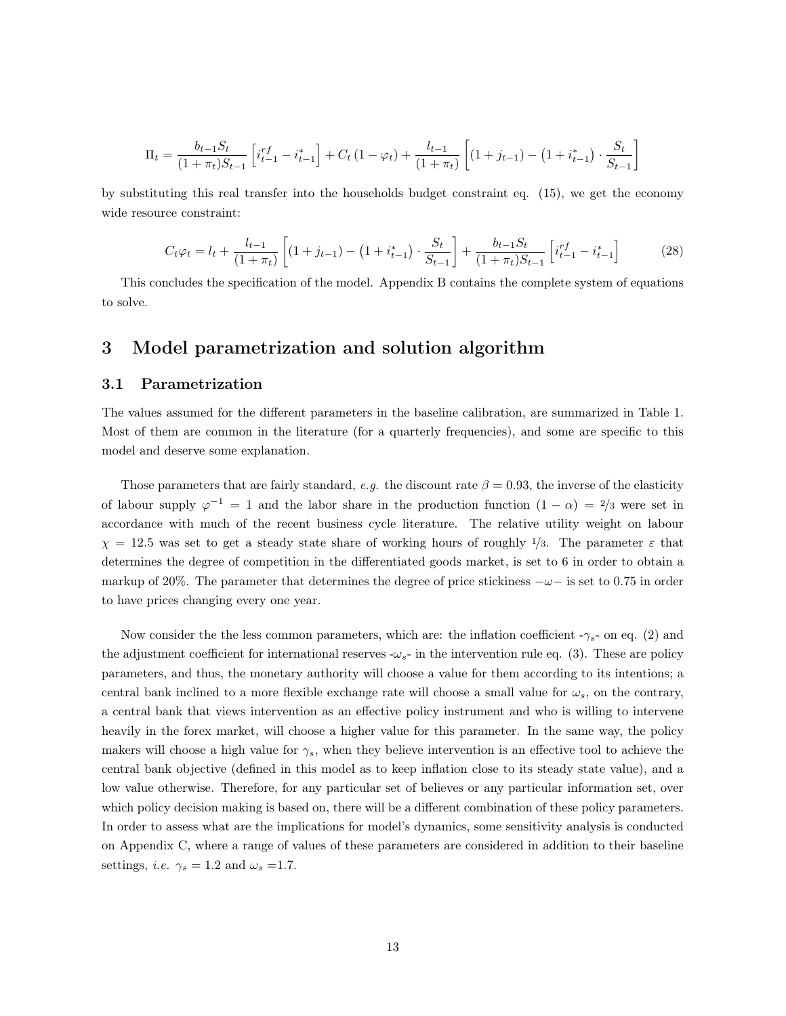$$
\Pi_t = \frac{b_{t-1}S_t}{(1+\pi_t)S_{t-1}} \left[ i_{t-1}^{rf} - i_{t-1}^* \right] + C_t (1-\varphi_t) + \frac{l_{t-1}}{(1+\pi_t)} \left[ (1+j_{t-1}) - (1+i_{t-1}^*) \cdot \frac{S_t}{S_{t-1}} \right]
$$

by substituting this real transfer into the households budget constraint eq. (15), we get the economy wide resource constraint:

$$
C_t \varphi_t = l_t + \frac{l_{t-1}}{(1+\pi_t)} \left[ (1+j_{t-1}) - (1+i_{t-1}^*) \cdot \frac{S_t}{S_{t-1}} \right] + \frac{b_{t-1} S_t}{(1+\pi_t) S_{t-1}} \left[ i_{t-1}^{rf} - i_{t-1}^* \right] \tag{28}
$$

This concludes the specification of the model. Appendix B contains the complete system of equations to solve.

# 3 Model parametrization and solution algorithm

# 3.1 Parametrization

The values assumed for the different parameters in the baseline calibration, are summarized in Table 1. Most of them are common in the literature (for a quarterly frequencies), and some are specific to this model and deserve some explanation.

Those parameters that are fairly standard, e.g. the discount rate  $\beta = 0.93$ , the inverse of the elasticity of labour supply  $\varphi^{-1} = 1$  and the labor share in the production function  $(1 - \alpha) = \frac{2}{3}$  were set in accordance with much of the recent business cycle literature. The relative utility weight on labour  $\chi = 12.5$  was set to get a steady state share of working hours of roughly  $1/3$ . The parameter  $\varepsilon$  that determines the degree of competition in the differentiated goods market, is set to 6 in order to obtain a markup of 20%. The parameter that determines the degree of price stickiness  $-\omega$  is set to 0.75 in order to have prices changing every one year.

Now consider the the less common parameters, which are: the inflation coefficient  $-\gamma_s$ - on eq. (2) and the adjustment coefficient for international reserves  $-\omega_{s}$ - in the intervention rule eq. (3). These are policy parameters, and thus, the monetary authority will choose a value for them according to its intentions; a central bank inclined to a more flexible exchange rate will choose a small value for  $\omega_s$ , on the contrary, a central bank that views intervention as an effective policy instrument and who is willing to intervene heavily in the forex market, will choose a higher value for this parameter. In the same way, the policy makers will choose a high value for  $\gamma_s$ , when they believe intervention is an effective tool to achieve the central bank objective (defined in this model as to keep inflation close to its steady state value), and a low value otherwise. Therefore, for any particular set of believes or any particular information set, over which policy decision making is based on, there will be a different combination of these policy parameters. In order to assess what are the implications for model's dynamics, some sensitivity analysis is conducted on Appendix C, where a range of values of these parameters are considered in addition to their baseline settings, *i.e.*  $\gamma_s = 1.2$  and  $\omega_s = 1.7$ .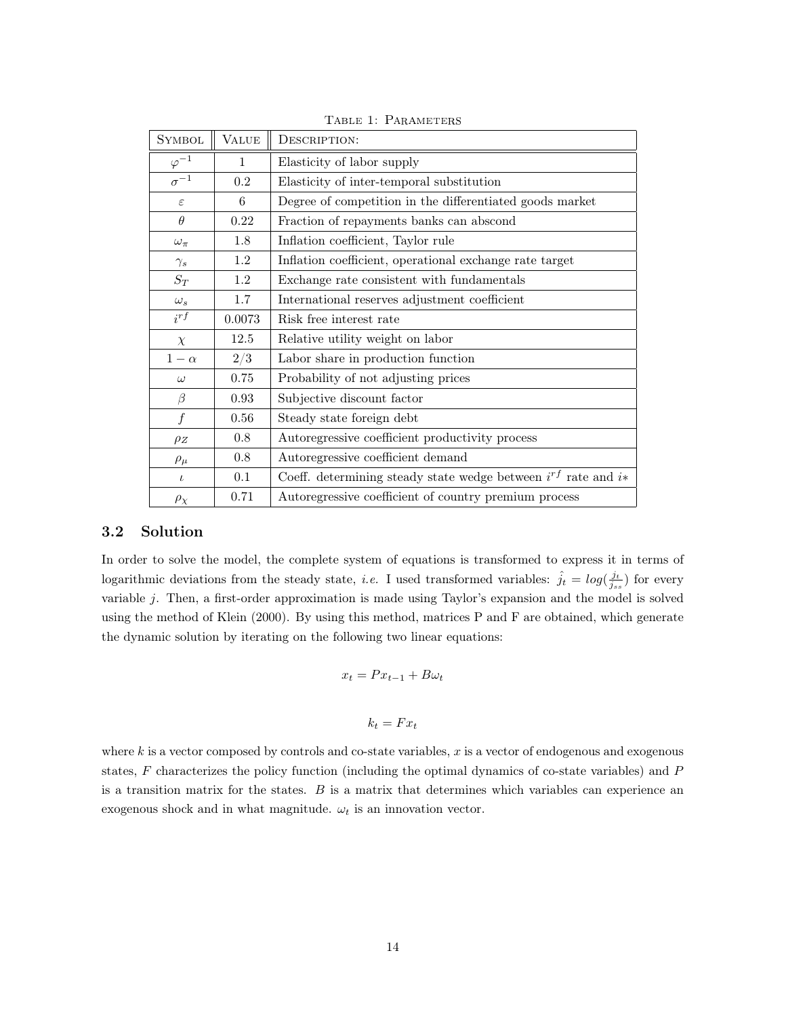| <b>SYMBOL</b>    | <b>VALUE</b> | DESCRIPTION:                                                         |
|------------------|--------------|----------------------------------------------------------------------|
| $\varphi^{-1}$   | $\mathbf{1}$ | Elasticity of labor supply                                           |
| $\sigma^{-1}$    | 0.2          | Elasticity of inter-temporal substitution                            |
| $\varepsilon$    | 6            | Degree of competition in the differentiated goods market             |
| $\theta$         | 0.22         | Fraction of repayments banks can abscond                             |
| $\omega_{\pi}$   | 1.8          | Inflation coefficient, Taylor rule                                   |
| $\gamma_s$       | $1.2\,$      | Inflation coefficient, operational exchange rate target              |
| $S_T$            | 1.2          | Exchange rate consistent with fundamentals                           |
| $\omega_s$       | 1.7          | International reserves adjustment coefficient                        |
| $i^{rf}$         | 0.0073       | Risk free interest rate                                              |
| $\chi$           | 12.5         | Relative utility weight on labor                                     |
| $1-\alpha$       | 2/3          | Labor share in production function                                   |
| $\omega$         | 0.75         | Probability of not adjusting prices                                  |
| $\beta$          | 0.93         | Subjective discount factor                                           |
| $\boldsymbol{f}$ | 0.56         | Steady state foreign debt                                            |
| $\rho_Z$         | 0.8          | Autoregressive coefficient productivity process                      |
| $\rho_\mu$       | 0.8          | Autoregressive coefficient demand                                    |
| $\iota$          | 0.1          | Coeff. determining steady state wedge between $i^{rf}$ rate and $i*$ |
| $\rho_\chi$      | 0.71         | Autoregressive coefficient of country premium process                |

TABLE 1: PARAMETERS

# 3.2 Solution

In order to solve the model, the complete system of equations is transformed to express it in terms of logarithmic deviations from the steady state, *i.e.* I used transformed variables:  $\hat{j}_t = log(\frac{j_t}{j_{ss}})$  for every variable j. Then, a first-order approximation is made using Taylor's expansion and the model is solved using the method of Klein (2000). By using this method, matrices P and F are obtained, which generate the dynamic solution by iterating on the following two linear equations:

$$
x_t = Px_{t-1} + B\omega_t
$$

$$
k_t = F x_t
$$

where  $k$  is a vector composed by controls and co-state variables,  $x$  is a vector of endogenous and exogenous states, F characterizes the policy function (including the optimal dynamics of co-state variables) and P is a transition matrix for the states.  $B$  is a matrix that determines which variables can experience an exogenous shock and in what magnitude.  $\omega_t$  is an innovation vector.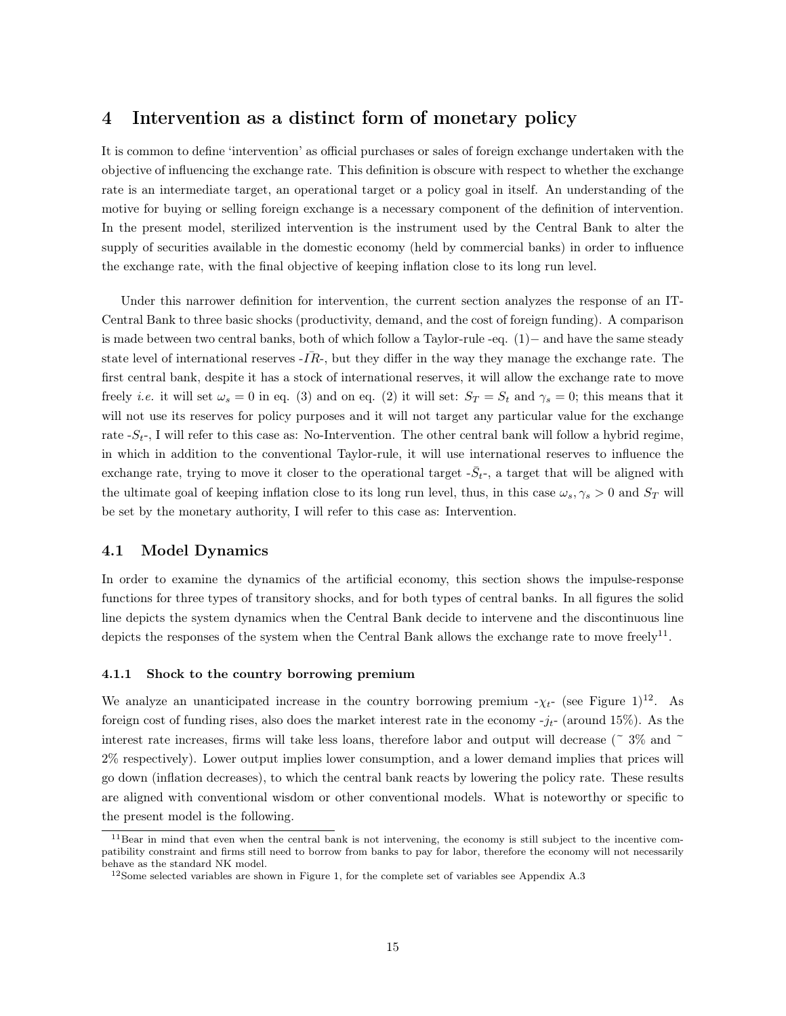# 4 Intervention as a distinct form of monetary policy

It is common to define 'intervention' as official purchases or sales of foreign exchange undertaken with the objective of influencing the exchange rate. This definition is obscure with respect to whether the exchange rate is an intermediate target, an operational target or a policy goal in itself. An understanding of the motive for buying or selling foreign exchange is a necessary component of the definition of intervention. In the present model, sterilized intervention is the instrument used by the Central Bank to alter the supply of securities available in the domestic economy (held by commercial banks) in order to influence the exchange rate, with the final objective of keeping inflation close to its long run level.

Under this narrower definition for intervention, the current section analyzes the response of an IT-Central Bank to three basic shocks (productivity, demand, and the cost of foreign funding). A comparison is made between two central banks, both of which follow a Taylor-rule -eq. (1)− and have the same steady state level of international reserves  $-IR$ , but they differ in the way they manage the exchange rate. The first central bank, despite it has a stock of international reserves, it will allow the exchange rate to move freely *i.e.* it will set  $\omega_s = 0$  in eq. (3) and on eq. (2) it will set:  $S_T = S_t$  and  $\gamma_s = 0$ ; this means that it will not use its reserves for policy purposes and it will not target any particular value for the exchange rate  $-S_t$ -, I will refer to this case as: No-Intervention. The other central bank will follow a hybrid regime, in which in addition to the conventional Taylor-rule, it will use international reserves to influence the exchange rate, trying to move it closer to the operational target  $-\bar{S}_{t}$ , a target that will be aligned with the ultimate goal of keeping inflation close to its long run level, thus, in this case  $\omega_s, \gamma_s > 0$  and  $S_T$  will be set by the monetary authority, I will refer to this case as: Intervention.

# 4.1 Model Dynamics

In order to examine the dynamics of the artificial economy, this section shows the impulse-response functions for three types of transitory shocks, and for both types of central banks. In all figures the solid line depicts the system dynamics when the Central Bank decide to intervene and the discontinuous line depicts the responses of the system when the Central Bank allows the exchange rate to move freely<sup>11</sup>.

### 4.1.1 Shock to the country borrowing premium

We analyze an unanticipated increase in the country borrowing premium  $-\chi_{t-}$  (see Figure 1)<sup>12</sup>. As foreign cost of funding rises, also does the market interest rate in the economy  $-i_t$ - (around 15%). As the interest rate increases, firms will take less loans, therefore labor and output will decrease ( $\degree$  3% and  $\degree$ ) 2% respectively). Lower output implies lower consumption, and a lower demand implies that prices will go down (inflation decreases), to which the central bank reacts by lowering the policy rate. These results are aligned with conventional wisdom or other conventional models. What is noteworthy or specific to the present model is the following.

<sup>11</sup>Bear in mind that even when the central bank is not intervening, the economy is still subject to the incentive compatibility constraint and firms still need to borrow from banks to pay for labor, therefore the economy will not necessarily behave as the standard NK model.

<sup>&</sup>lt;sup>12</sup>Some selected variables are shown in Figure 1, for the complete set of variables see Appendix A.3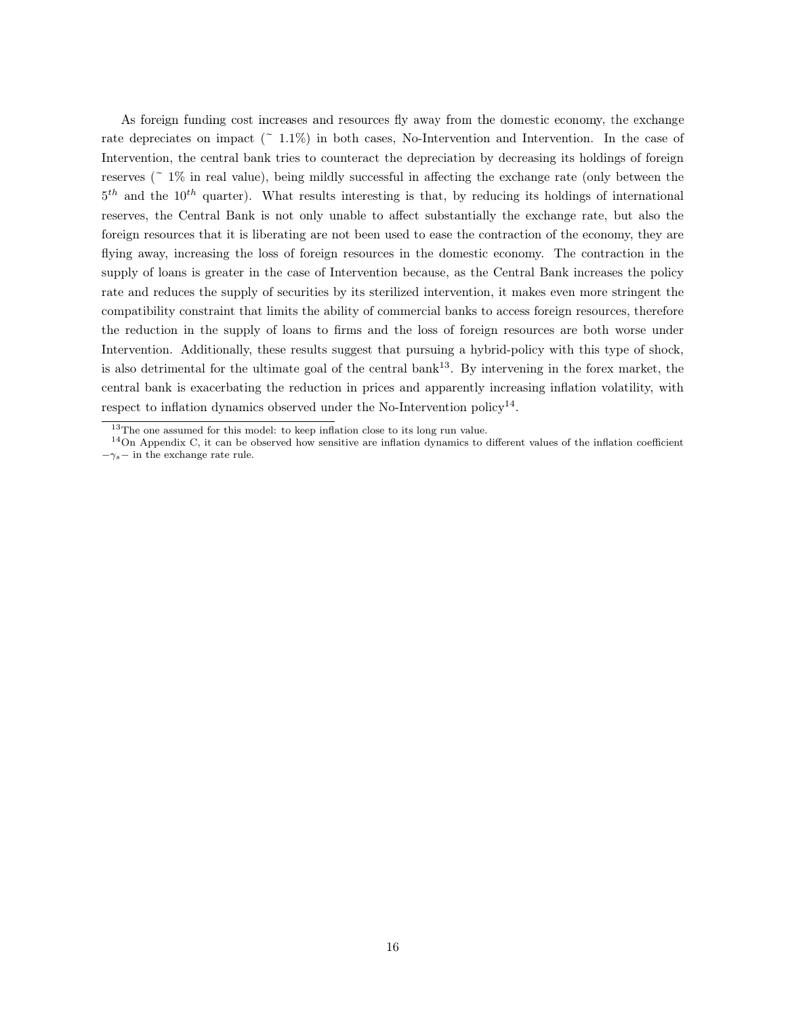As foreign funding cost increases and resources fly away from the domestic economy, the exchange rate depreciates on impact  $(2.11\%)$  in both cases, No-Intervention and Intervention. In the case of Intervention, the central bank tries to counteract the depreciation by decreasing its holdings of foreign reserves ( $\degree$  1\% in real value), being mildly successful in affecting the exchange rate (only between the  $5<sup>th</sup>$  and the 10<sup>th</sup> quarter). What results interesting is that, by reducing its holdings of international reserves, the Central Bank is not only unable to affect substantially the exchange rate, but also the foreign resources that it is liberating are not been used to ease the contraction of the economy, they are flying away, increasing the loss of foreign resources in the domestic economy. The contraction in the supply of loans is greater in the case of Intervention because, as the Central Bank increases the policy rate and reduces the supply of securities by its sterilized intervention, it makes even more stringent the compatibility constraint that limits the ability of commercial banks to access foreign resources, therefore the reduction in the supply of loans to firms and the loss of foreign resources are both worse under Intervention. Additionally, these results suggest that pursuing a hybrid-policy with this type of shock, is also detrimental for the ultimate goal of the central bank<sup>13</sup>. By intervening in the forex market, the central bank is exacerbating the reduction in prices and apparently increasing inflation volatility, with respect to inflation dynamics observed under the No-Intervention policy<sup>14</sup>.

<sup>&</sup>lt;sup>13</sup>The one assumed for this model: to keep inflation close to its long run value.

 $14$ On Appendix C, it can be observed how sensitive are inflation dynamics to different values of the inflation coefficient  $-\gamma_s-$  in the exchange rate rule.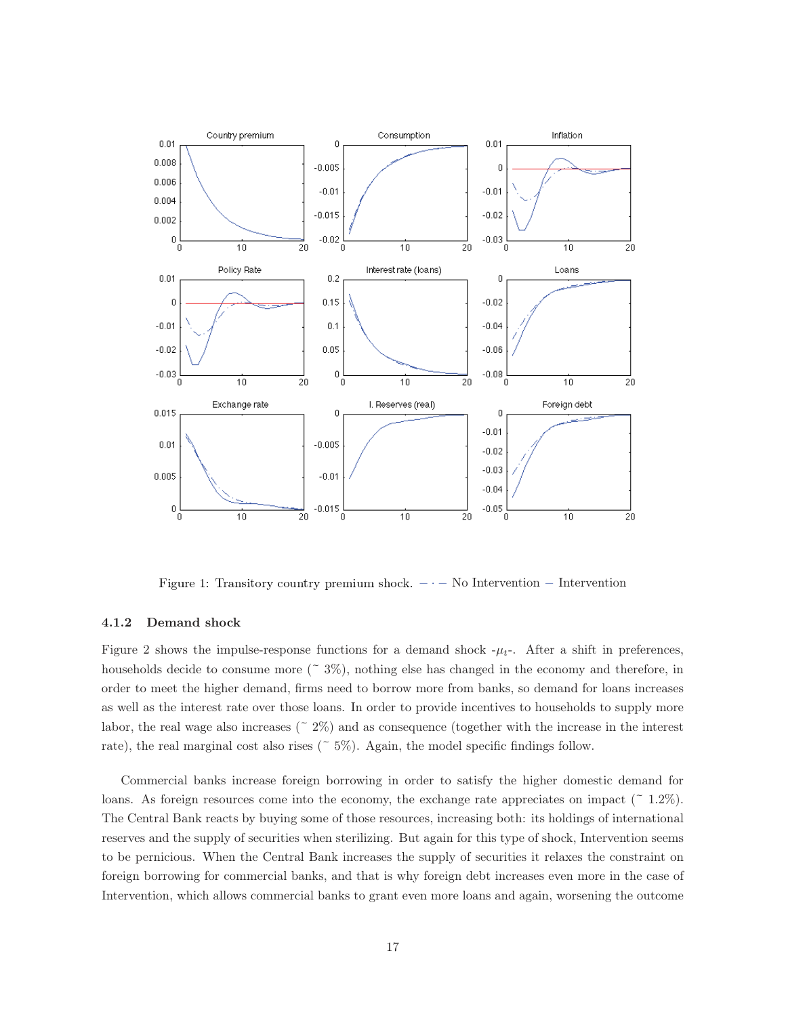

Figure 1: Transitory country premium shock.  $- \cdot -$  No Intervention  $-$  Intervention

### 4.1.2 Demand shock

Figure 2 shows the impulse-response functions for a demand shock  $-\mu_t$ . After a shift in preferences, households decide to consume more  $(2.3\%)$ , nothing else has changed in the economy and therefore, in order to meet the higher demand, firms need to borrow more from banks, so demand for loans increases as well as the interest rate over those loans. In order to provide incentives to households to supply more labor, the real wage also increases ( $\approx 2\%$ ) and as consequence (together with the increase in the interest rate), the real marginal cost also rises  $(5\%)$ . Again, the model specific findings follow.

Commercial banks increase foreign borrowing in order to satisfy the higher domestic demand for loans. As foreign resources come into the economy, the exchange rate appreciates on impact ( $\degree$  1.2%). The Central Bank reacts by buying some of those resources, increasing both: its holdings of international reserves and the supply of securities when sterilizing. But again for this type of shock, Intervention seems to be pernicious. When the Central Bank increases the supply of securities it relaxes the constraint on foreign borrowing for commercial banks, and that is why foreign debt increases even more in the case of Intervention, which allows commercial banks to grant even more loans and again, worsening the outcome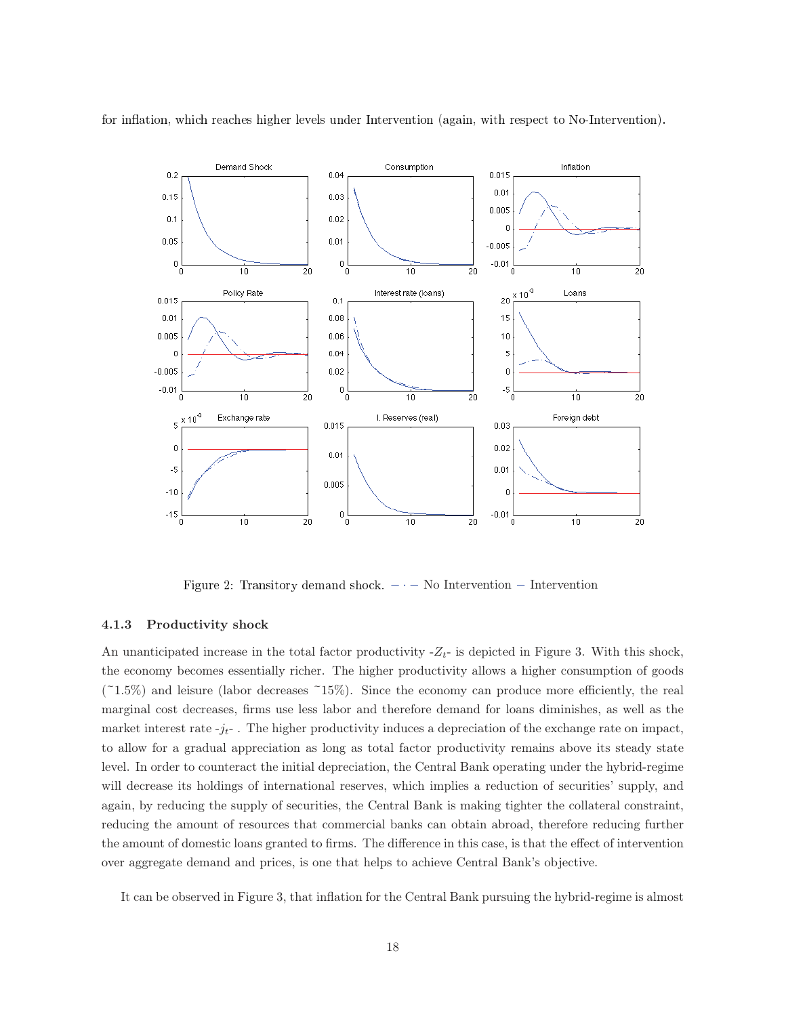

for inflation, which reaches higher levels under Intervention (again, with respect to No-Intervention).

Figure 2: Transitory demand shock.  $- \cdot -$  No Intervention  $-$  Intervention

### 4.1.3 Productivity shock

An unanticipated increase in the total factor productivity  $-Z_t$ - is depicted in Figure 3. With this shock, the economy becomes essentially richer. The higher productivity allows a higher consumption of goods  $(21.5\%)$  and leisure (labor decreases  $15\%$ ). Since the economy can produce more efficiently, the real marginal cost decreases, firms use less labor and therefore demand for loans diminishes, as well as the market interest rate  $-j_t$ . The higher productivity induces a depreciation of the exchange rate on impact, to allow for a gradual appreciation as long as total factor productivity remains above its steady state level. In order to counteract the initial depreciation, the Central Bank operating under the hybrid-regime will decrease its holdings of international reserves, which implies a reduction of securities' supply, and again, by reducing the supply of securities, the Central Bank is making tighter the collateral constraint, reducing the amount of resources that commercial banks can obtain abroad, therefore reducing further the amount of domestic loans granted to firms. The difference in this case, is that the effect of intervention over aggregate demand and prices, is one that helps to achieve Central Bank's objective.

It can be observed in Figure 3, that inflation for the Central Bank pursuing the hybrid-regime is almost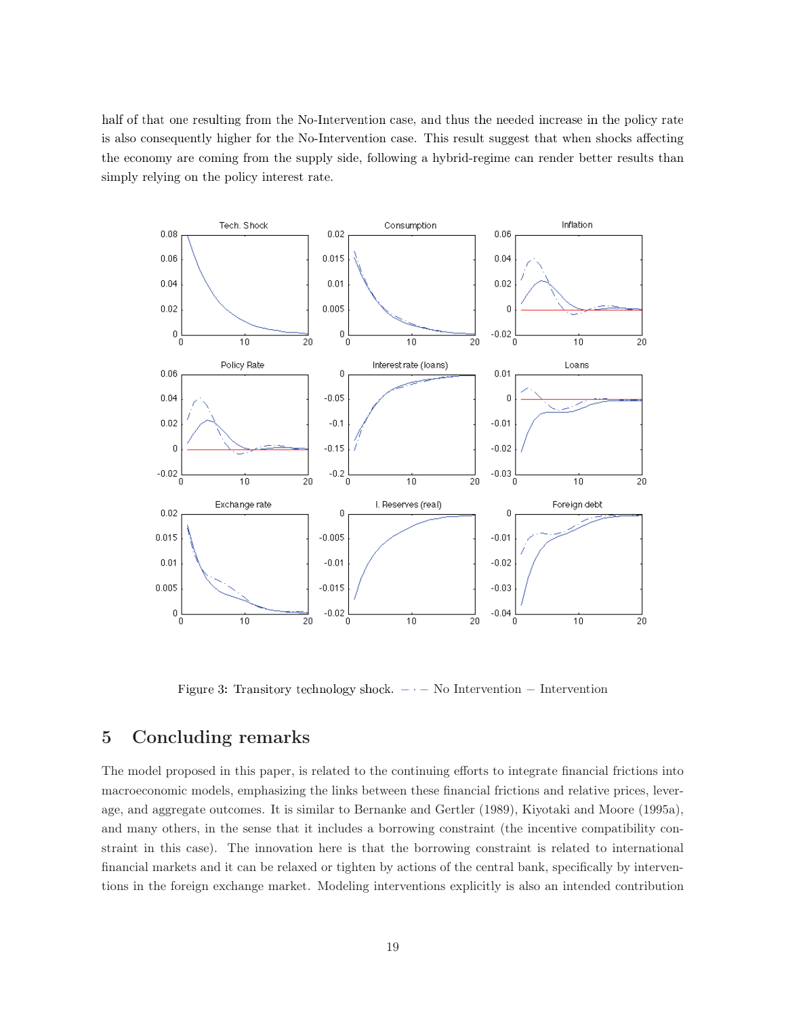half of that one resulting from the No-Intervention case, and thus the needed increase in the policy rate is also consequently higher for the No-Intervention case. This result suggest that when shocks affecting the economy are coming from the supply side, following a hybrid-regime can render better results than simply relying on the policy interest rate.



Figure 3: Transitory technology shock.  $- \cdot -$  No Intervention  $-$  Intervention

#### $\overline{5}$ Concluding remarks

The model proposed in this paper, is related to the continuing efforts to integrate financial frictions into macroeconomic models, emphasizing the links between these financial frictions and relative prices, leverage, and aggregate outcomes. It is similar to Bernanke and Gertler (1989), Kiyotaki and Moore (1995a), and many others, in the sense that it includes a borrowing constraint (the incentive compatibility constraint in this case). The innovation here is that the borrowing constraint is related to international financial markets and it can be relaxed or tighten by actions of the central bank, specifically by interventions in the foreign exchange market. Modeling interventions explicitly is also an intended contribution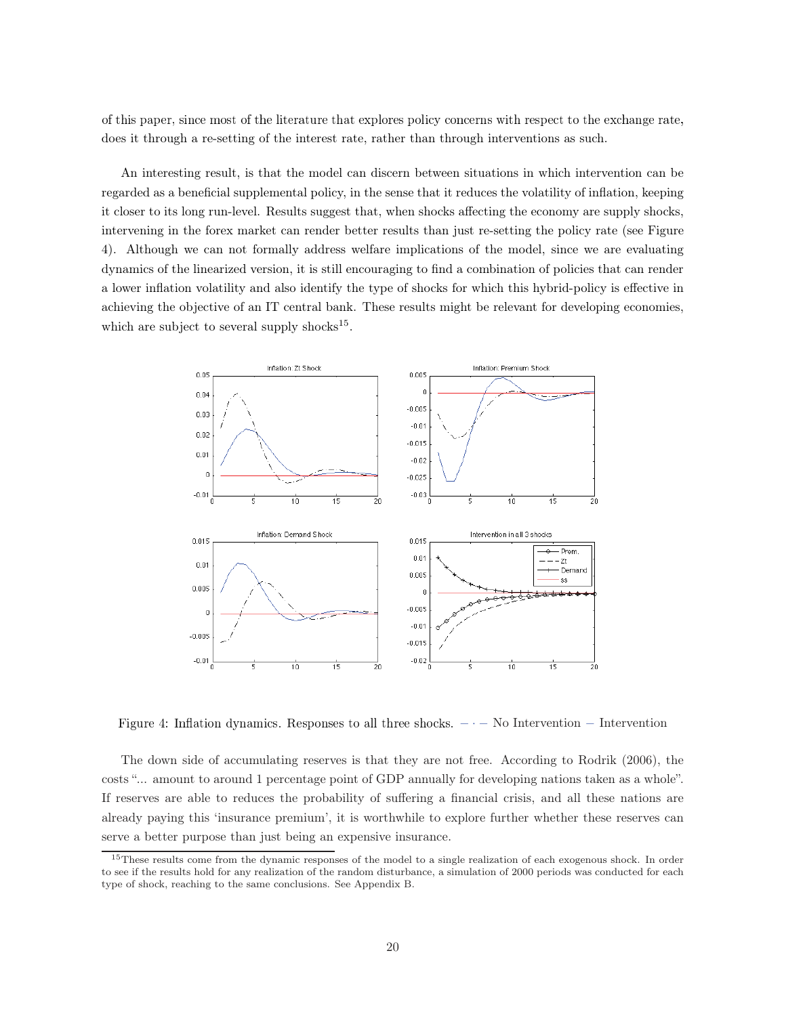of this paper, since most of the literature that explores policy concerns with respect to the exchange rate, does it through a re-setting of the interest rate, rather than through interventions as such.

An interesting result, is that the model can discern between situations in which intervention can be regarded as a beneficial supplemental policy, in the sense that it reduces the volatility of inflation, keeping it closer to its long run-level. Results suggest that, when shocks affecting the economy are supply shocks, intervening in the forex market can render better results than just re-setting the policy rate (see Figure 4). Although we can not formally address welfare implications of the model, since we are evaluating dynamics of the linearized version, it is still encouraging to find a combination of policies that can render a lower inflation volatility and also identify the type of shocks for which this hybrid-policy is effective in achieving the objective of an IT central bank. These results might be relevant for developing economies, which are subject to several supply shocks<sup>15</sup>.



Figure 4: Inflation dynamics. Responses to all three shocks.  $- -$  No Intervention  $-$  Intervention

The down side of accumulating reserves is that they are not free. According to Rodrik (2006), the costs "... amount to around 1 percentage point of GDP annually for developing nations taken as a whole". If reserves are able to reduces the probability of suffering a financial crisis, and all these nations are already paying this 'insurance premium', it is worthwhile to explore further whether these reserves can serve a better purpose than just being an expensive insurance.

<sup>&</sup>lt;sup>15</sup>These results come from the dynamic responses of the model to a single realization of each exogenous shock. In order to see if the results hold for any realization of the random disturbance, a simulation of 2000 periods was conducted for each type of shock, reaching to the same conclusions. See Appendix B.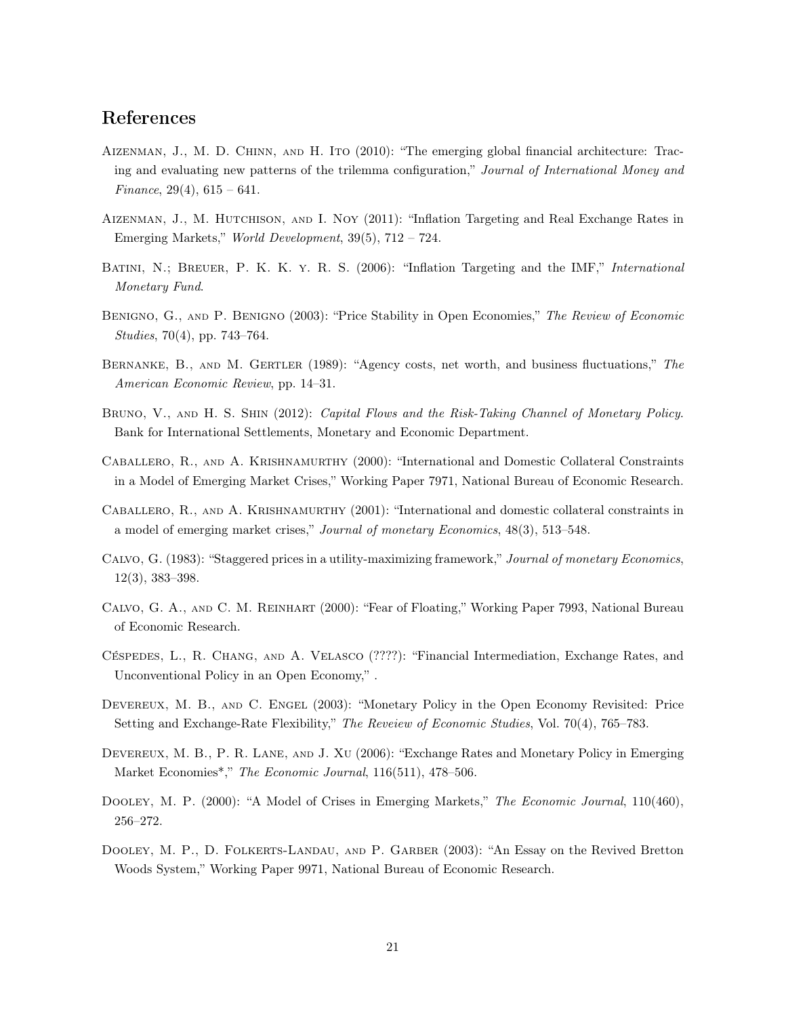# $\operatorname{References}$

- Aizenman, J., M. D. Chinn, and H. Ito (2010): "The emerging global financial architecture: Tracing and evaluating new patterns of the trilemma configuration," Journal of International Money and Finance, 29(4),  $615 - 641$ .
- AIZENMAN, J., M. HUTCHISON, AND I. NOY (2011): "Inflation Targeting and Real Exchange Rates in Emerging Markets," World Development, 39(5), 712 – 724.
- BATINI, N.; BREUER, P. K. K. Y. R. S. (2006): "Inflation Targeting and the IMF," International Monetary Fund.
- BENIGNO, G., AND P. BENIGNO (2003): "Price Stability in Open Economies," The Review of Economic Studies, 70(4), pp. 743–764.
- Bernanke, B., and M. Gertler (1989): "Agency costs, net worth, and business fluctuations," The American Economic Review, pp. 14–31.
- BRUNO, V., AND H. S. SHIN (2012): Capital Flows and the Risk-Taking Channel of Monetary Policy. Bank for International Settlements, Monetary and Economic Department.
- Caballero, R., and A. Krishnamurthy (2000): "International and Domestic Collateral Constraints in a Model of Emerging Market Crises," Working Paper 7971, National Bureau of Economic Research.
- Caballero, R., and A. Krishnamurthy (2001): "International and domestic collateral constraints in a model of emerging market crises," Journal of monetary Economics, 48(3), 513–548.
- Calvo, G. (1983): "Staggered prices in a utility-maximizing framework," Journal of monetary Economics, 12(3), 383–398.
- Calvo, G. A., and C. M. Reinhart (2000): "Fear of Floating," Working Paper 7993, National Bureau of Economic Research.
- Céspedes, L., R. Chang, and A. Velasco (????): "Financial Intermediation, Exchange Rates, and Unconventional Policy in an Open Economy," .
- Devereux, M. B., and C. Engel (2003): "Monetary Policy in the Open Economy Revisited: Price Setting and Exchange-Rate Flexibility," The Reveiew of Economic Studies, Vol. 70(4), 765–783.
- Devereux, M. B., P. R. Lane, and J. Xu (2006): "Exchange Rates and Monetary Policy in Emerging Market Economies<sup>\*</sup>," The Economic Journal, 116(511), 478-506.
- DOOLEY, M. P. (2000): "A Model of Crises in Emerging Markets," The Economic Journal, 110(460), 256–272.
- DOOLEY, M. P., D. FOLKERTS-LANDAU, AND P. GARBER (2003): "An Essay on the Revived Bretton Woods System," Working Paper 9971, National Bureau of Economic Research.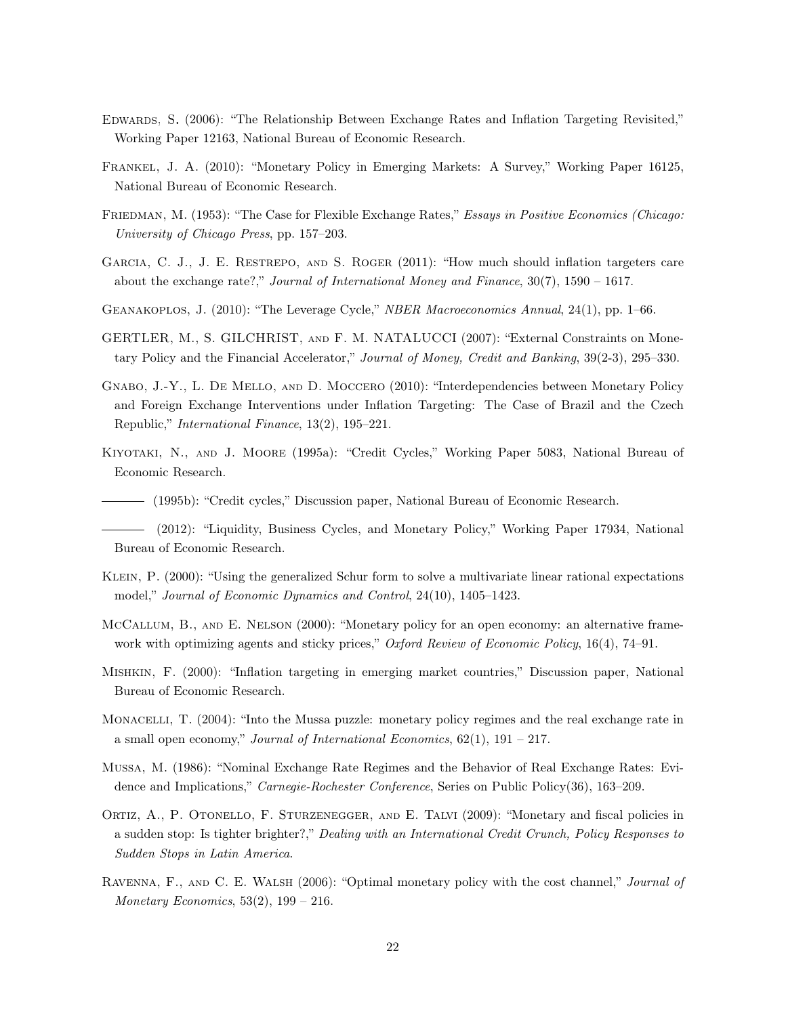- EDWARDS, S. (2006): "The Relationship Between Exchange Rates and Inflation Targeting Revisited," Working Paper 12163, National Bureau of Economic Research.
- Frankel, J. A. (2010): "Monetary Policy in Emerging Markets: A Survey," Working Paper 16125, National Bureau of Economic Research.
- FRIEDMAN, M. (1953): "The Case for Flexible Exchange Rates," Essays in Positive Economics (Chicago: University of Chicago Press, pp. 157–203.
- GARCIA, C. J., J. E. RESTREPO, AND S. ROGER (2011): "How much should inflation targeters care about the exchange rate?," Journal of International Money and Finance, 30(7), 1590 – 1617.
- GEANAKOPLOS, J. (2010): "The Leverage Cycle," NBER Macroeconomics Annual, 24(1), pp. 1–66.
- GERTLER, M., S. GILCHRIST, and F. M. NATALUCCI (2007): "External Constraints on Monetary Policy and the Financial Accelerator," Journal of Money, Credit and Banking, 39(2-3), 295–330.
- Gnabo, J.-Y., L. De Mello, and D. Moccero (2010): "Interdependencies between Monetary Policy and Foreign Exchange Interventions under Inflation Targeting: The Case of Brazil and the Czech Republic," International Finance, 13(2), 195–221.
- Kiyotaki, N., and J. Moore (1995a): "Credit Cycles," Working Paper 5083, National Bureau of Economic Research.

(1995b): "Credit cycles," Discussion paper, National Bureau of Economic Research.

- Klein, P. (2000): "Using the generalized Schur form to solve a multivariate linear rational expectations model," Journal of Economic Dynamics and Control, 24(10), 1405–1423.
- McCallum, B., and E. Nelson (2000): "Monetary policy for an open economy: an alternative framework with optimizing agents and sticky prices," Oxford Review of Economic Policy, 16(4), 74–91.
- Mishkin, F. (2000): "Inflation targeting in emerging market countries," Discussion paper, National Bureau of Economic Research.
- MONACELLI, T. (2004): "Into the Mussa puzzle: monetary policy regimes and the real exchange rate in a small open economy," Journal of International Economics,  $62(1)$ ,  $191 - 217$ .
- Mussa, M. (1986): "Nominal Exchange Rate Regimes and the Behavior of Real Exchange Rates: Evidence and Implications," Carnegie-Rochester Conference, Series on Public Policy(36), 163–209.
- Ortiz, A., P. Otonello, F. Sturzenegger, and E. Talvi (2009): "Monetary and fiscal policies in a sudden stop: Is tighter brighter?," Dealing with an International Credit Crunch, Policy Responses to Sudden Stops in Latin America.
- RAVENNA, F., AND C. E. WALSH (2006): "Optimal monetary policy with the cost channel," Journal of Monetary Economics,  $53(2)$ ,  $199 - 216$ .

<sup>(2012): &</sup>quot;Liquidity, Business Cycles, and Monetary Policy," Working Paper 17934, National Bureau of Economic Research.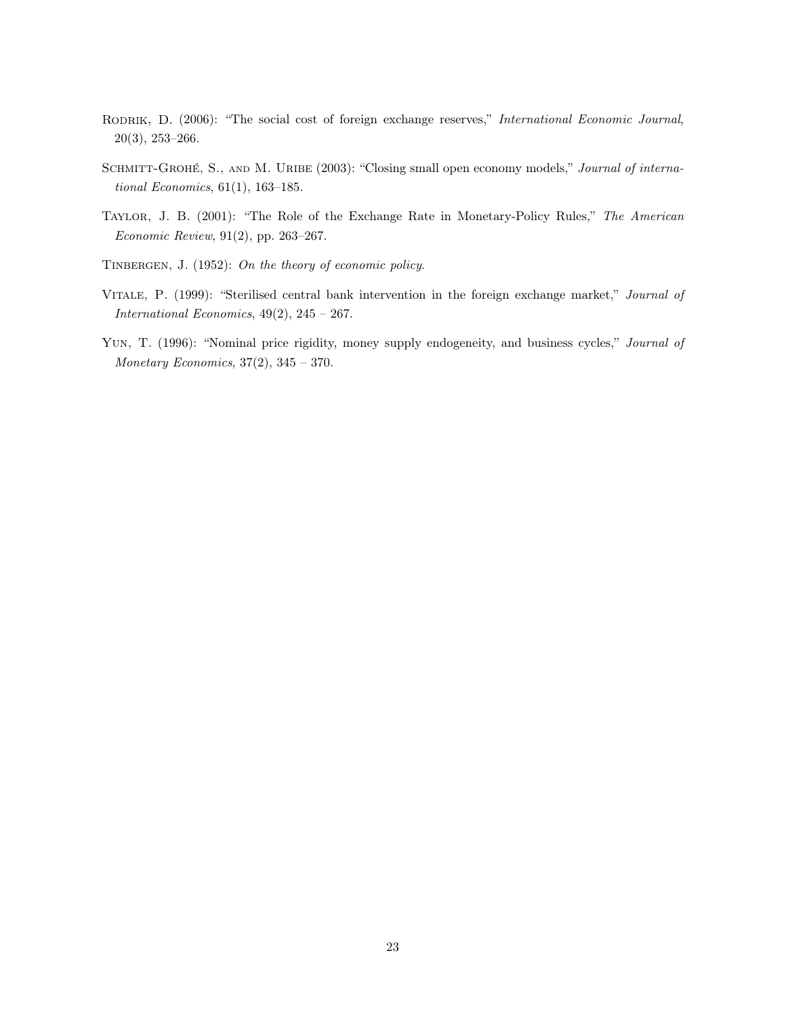- RODRIK, D. (2006): "The social cost of foreign exchange reserves," International Economic Journal, 20(3), 253–266.
- SCHMITT-GROHÉ, S., AND M. URIBE (2003): "Closing small open economy models," Journal of international Economics, 61(1), 163–185.
- Taylor, J. B. (2001): "The Role of the Exchange Rate in Monetary-Policy Rules," The American Economic Review, 91(2), pp. 263–267.
- TINBERGEN, J. (1952): On the theory of economic policy.
- Vitale, P. (1999): "Sterilised central bank intervention in the foreign exchange market," Journal of International Economics,  $49(2)$ ,  $245 - 267$ .
- YUN, T. (1996): "Nominal price rigidity, money supply endogeneity, and business cycles," Journal of Monetary Economics,  $37(2)$ ,  $345 - 370$ .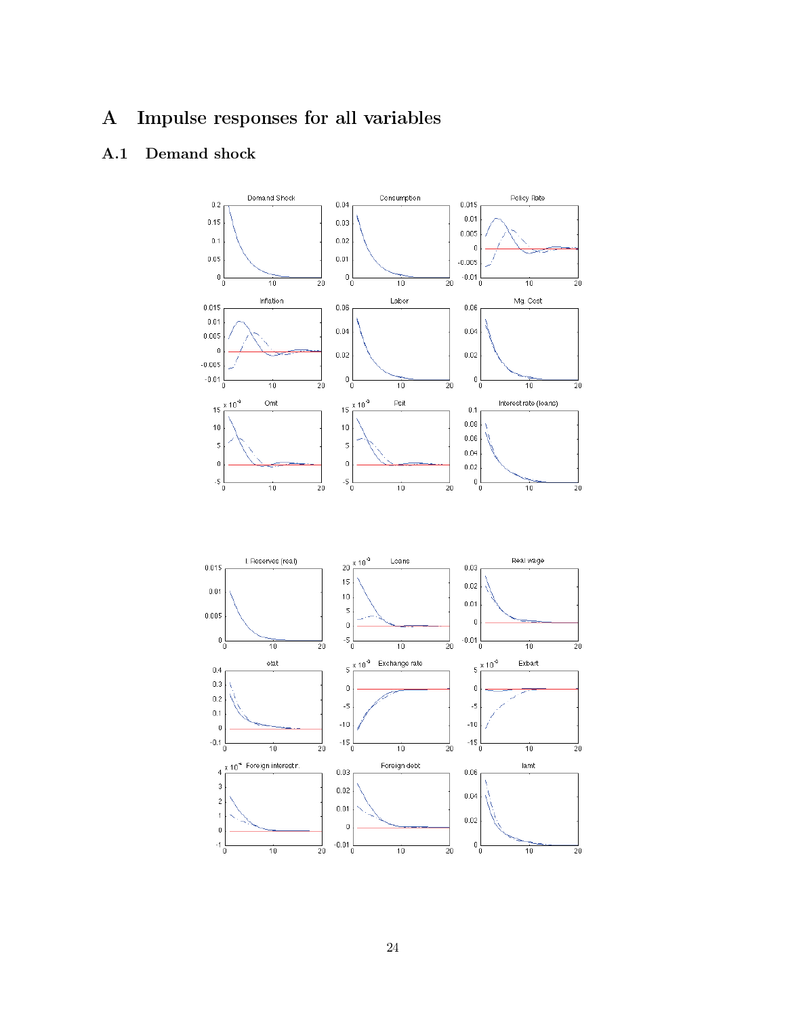#### Impulse responses for all variables  $\mathbf{A}$

#### Demand shock  $A.1$

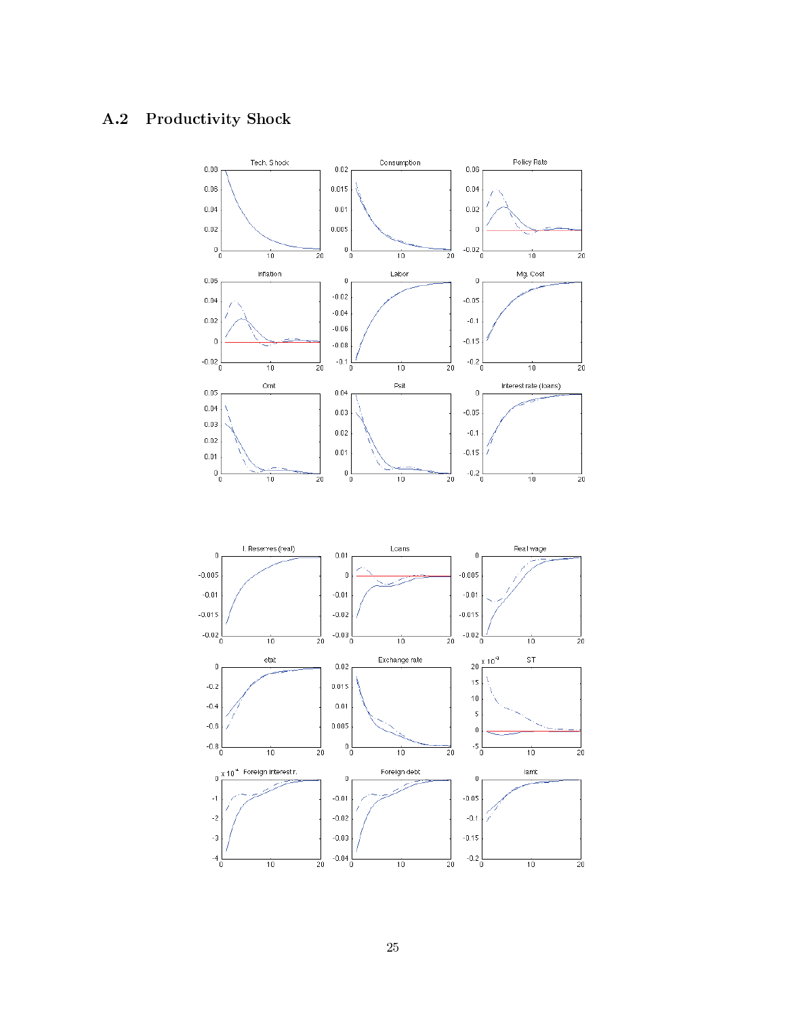#### $A.2$ **Productivity Shock**

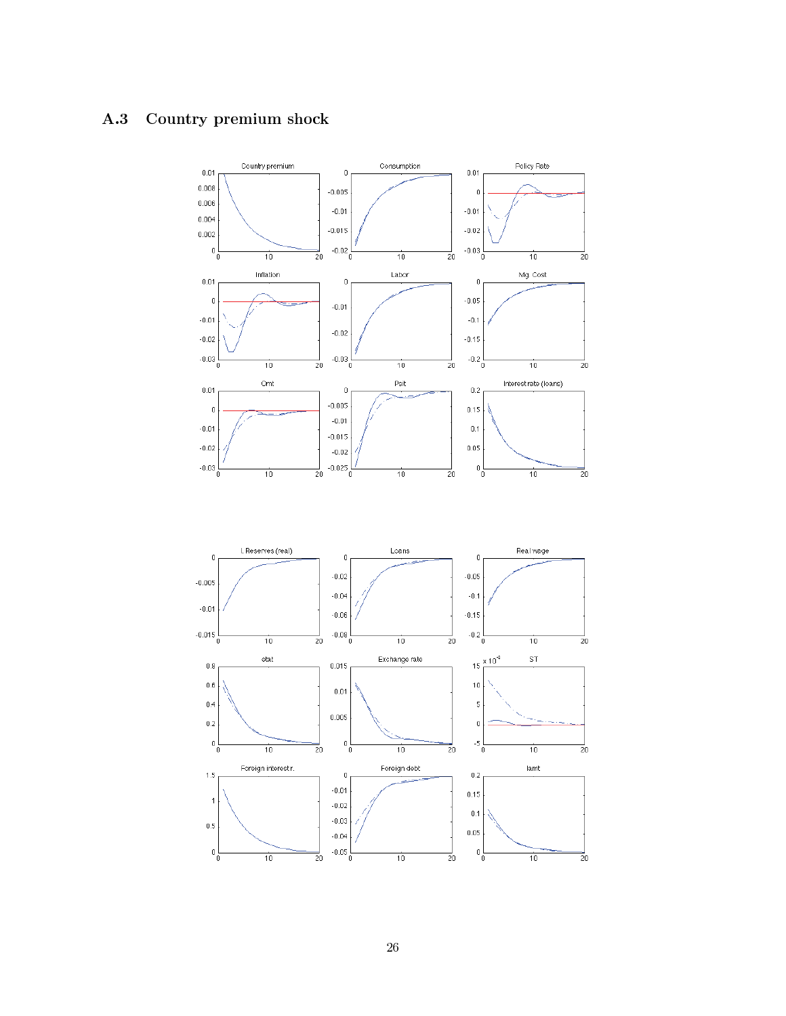#### $A.3$ Country premium shock

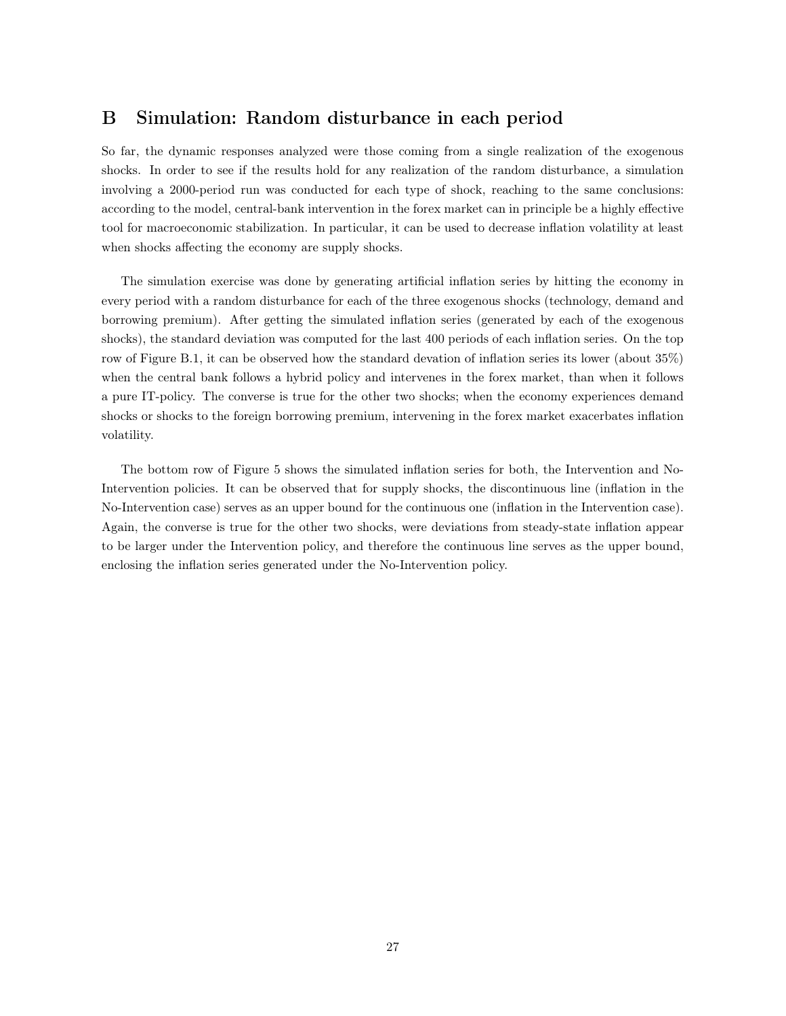# B Simulation: Random disturbance in each period

So far, the dynamic responses analyzed were those coming from a single realization of the exogenous shocks. In order to see if the results hold for any realization of the random disturbance, a simulation involving a 2000-period run was conducted for each type of shock, reaching to the same conclusions: according to the model, central-bank intervention in the forex market can in principle be a highly effective tool for macroeconomic stabilization. In particular, it can be used to decrease inflation volatility at least when shocks affecting the economy are supply shocks.

The simulation exercise was done by generating artificial inflation series by hitting the economy in every period with a random disturbance for each of the three exogenous shocks (technology, demand and borrowing premium). After getting the simulated inflation series (generated by each of the exogenous shocks), the standard deviation was computed for the last 400 periods of each inflation series. On the top row of Figure B.1, it can be observed how the standard devation of inflation series its lower (about 35%) when the central bank follows a hybrid policy and intervenes in the forex market, than when it follows a pure IT-policy. The converse is true for the other two shocks; when the economy experiences demand shocks or shocks to the foreign borrowing premium, intervening in the forex market exacerbates inflation volatility.

The bottom row of Figure 5 shows the simulated inflation series for both, the Intervention and No-Intervention policies. It can be observed that for supply shocks, the discontinuous line (inflation in the No-Intervention case) serves as an upper bound for the continuous one (inflation in the Intervention case). Again, the converse is true for the other two shocks, were deviations from steady-state inflation appear to be larger under the Intervention policy, and therefore the continuous line serves as the upper bound, enclosing the inflation series generated under the No-Intervention policy.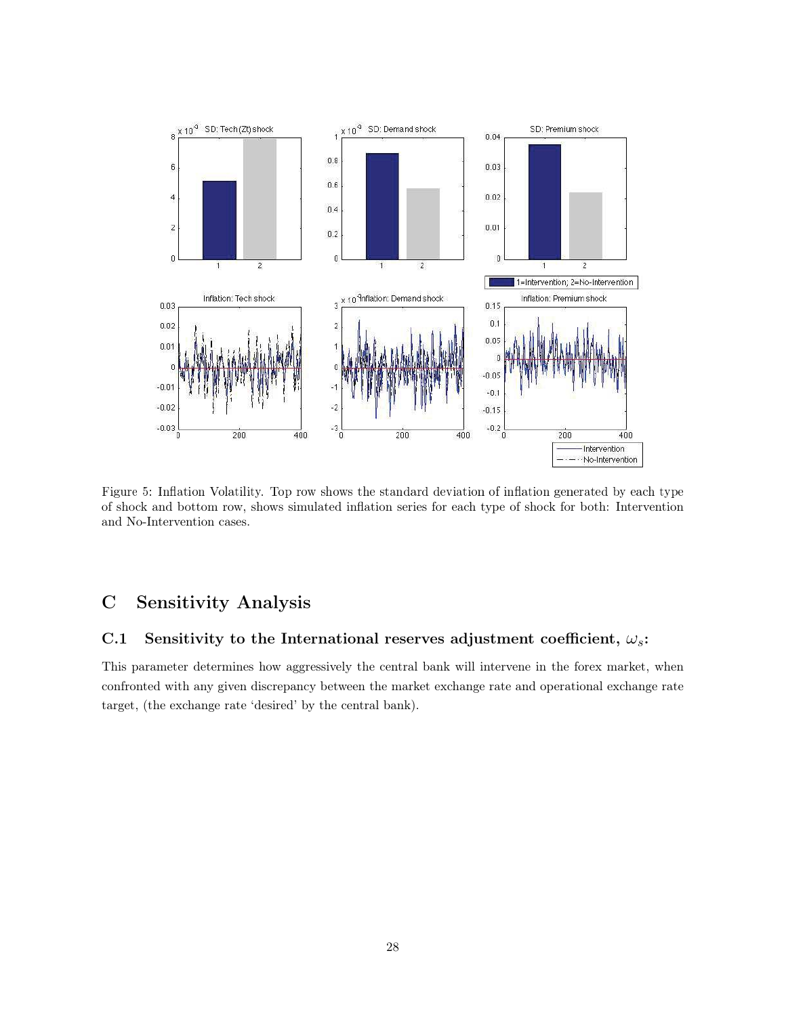

Figure 5: Inflation Volatility. Top row shows the standard deviation of inflation generated by each type of shock and bottom row, shows simulated inflation series for each type of shock for both: Intervention and No-Intervention cases.

#### $\mathbf C$ **Sensitivity Analysis**

#### Sensitivity to the International reserves adjustment coefficient,  $\omega_s$ :  $C.1$

This parameter determines how aggressively the central bank will intervene in the forex market, when confronted with any given discrepancy between the market exchange rate and operational exchange rate target, (the exchange rate 'desired' by the central bank).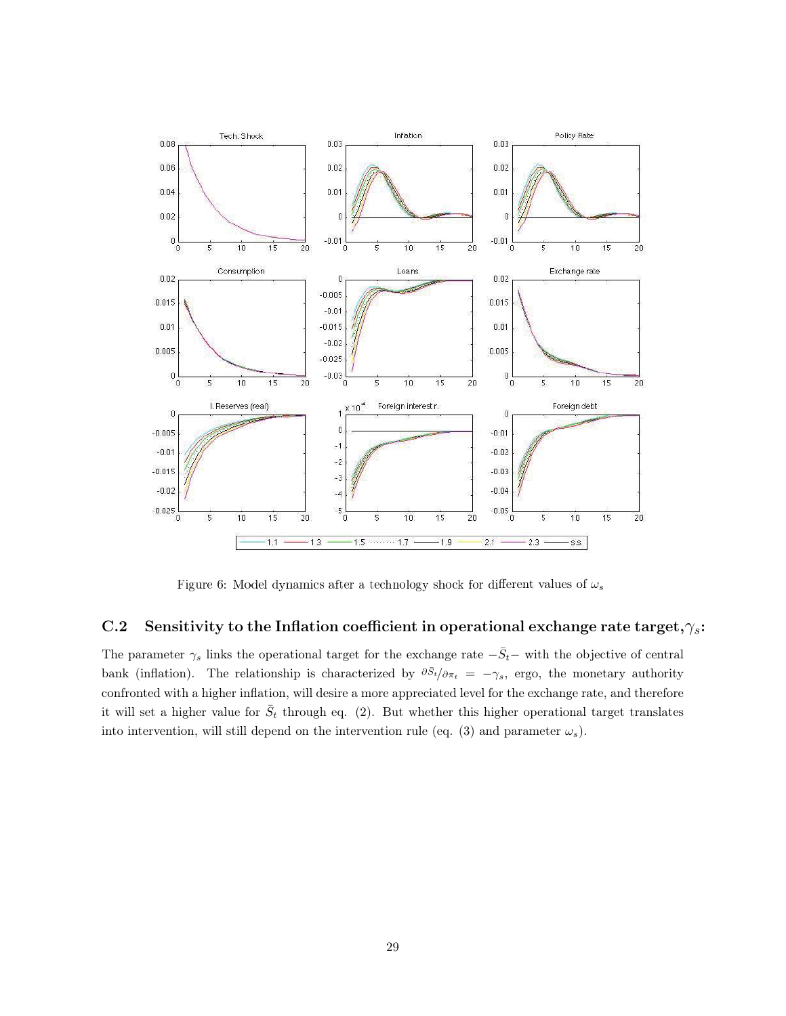

Figure 6: Model dynamics after a technology shock for different values of  $\omega_s$ 

#### $C.2$ Sensitivity to the Inflation coefficient in operational exchange rate target,  $\gamma_s$ :

The parameter  $\gamma_s$  links the operational target for the exchange rate  $-\bar{S}_t$  with the objective of central bank (inflation). The relationship is characterized by  $\partial \bar{s}_t/\partial \pi_t = -\gamma_s$ , ergo, the monetary authority confronted with a higher inflation, will desire a more appreciated level for the exchange rate, and therefore it will set a higher value for  $\bar{S}_t$  through eq. (2). But whether this higher operational target translates into intervention, will still depend on the intervention rule (eq. (3) and parameter  $\omega_s$ ).